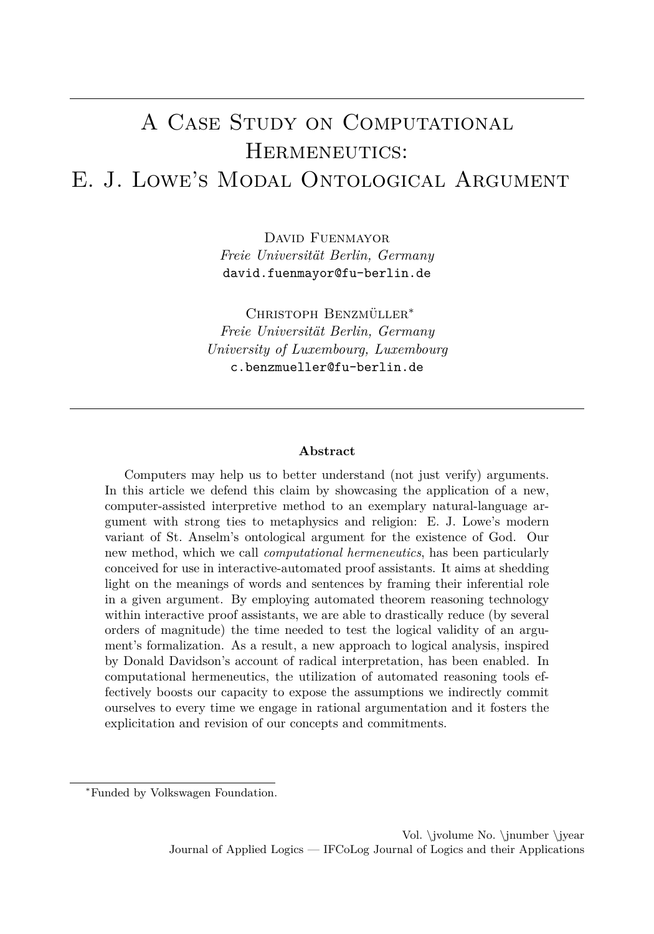# <span id="page-0-0"></span>A Case Study on Computational HERMENEUTICS: E. J. Lowe's Modal Ontological Argument

David Fuenmayor *Freie Universität Berlin, Germany* david.fuenmayor@fu-berlin.de

Christoph Benzmüller∗ *Freie Universität Berlin, Germany University of Luxembourg, Luxembourg* c.benzmueller@fu-berlin.de

#### **Abstract**

Computers may help us to better understand (not just verify) arguments. In this article we defend this claim by showcasing the application of a new, computer-assisted interpretive method to an exemplary natural-language argument with strong ties to metaphysics and religion: E. J. Lowe's modern variant of St. Anselm's ontological argument for the existence of God. Our new method, which we call *computational hermeneutics*, has been particularly conceived for use in interactive-automated proof assistants. It aims at shedding light on the meanings of words and sentences by framing their inferential role in a given argument. By employing automated theorem reasoning technology within interactive proof assistants, we are able to drastically reduce (by several orders of magnitude) the time needed to test the logical validity of an argument's formalization. As a result, a new approach to logical analysis, inspired by Donald Davidson's account of radical interpretation, has been enabled. In computational hermeneutics, the utilization of automated reasoning tools effectively boosts our capacity to expose the assumptions we indirectly commit ourselves to every time we engage in rational argumentation and it fosters the explicitation and revision of our concepts and commitments.

<sup>∗</sup>Funded by Volkswagen Foundation.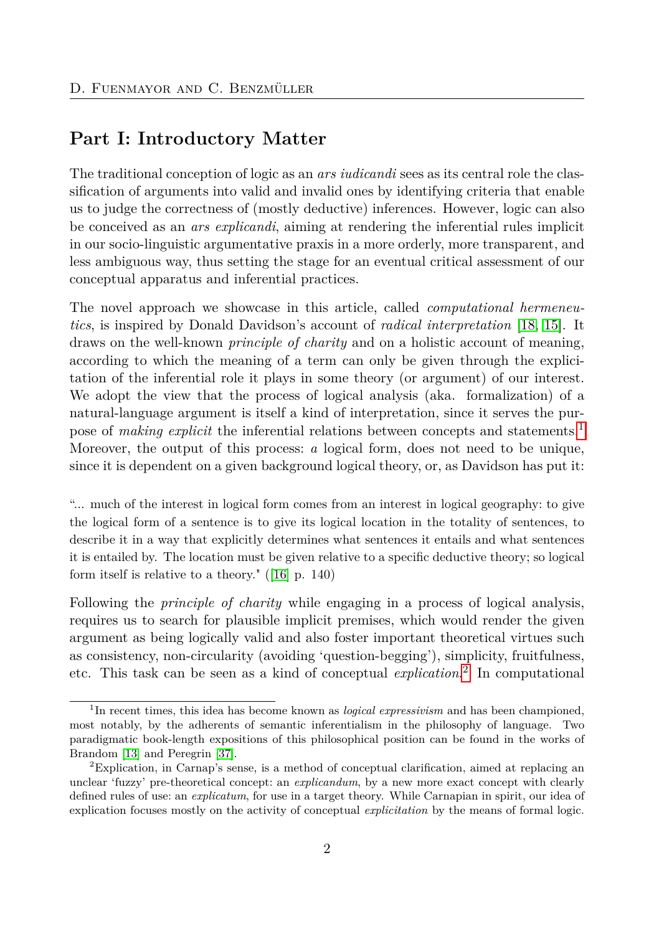# **Part I: Introductory Matter**

The traditional conception of logic as an *ars iudicandi* sees as its central role the classification of arguments into valid and invalid ones by identifying criteria that enable us to judge the correctness of (mostly deductive) inferences. However, logic can also be conceived as an *ars explicandi*, aiming at rendering the inferential rules implicit in our socio-linguistic argumentative praxis in a more orderly, more transparent, and less ambiguous way, thus setting the stage for an eventual critical assessment of our conceptual apparatus and inferential practices.

The novel approach we showcase in this article, called *computational hermeneutics*, is inspired by Donald Davidson's account of *radical interpretation* [\[18,](#page-35-0) [15\]](#page-35-1). It draws on the well-known *principle of charity* and on a holistic account of meaning, according to which the meaning of a term can only be given through the explicitation of the inferential role it plays in some theory (or argument) of our interest. We adopt the view that the process of logical analysis (aka. formalization) of a natural-language argument is itself a kind of interpretation, since it serves the purpose of *making explicit* the inferential relations between concepts and statements.[1](#page-0-0) Moreover, the output of this process: *a* logical form, does not need to be unique, since it is dependent on a given background logical theory, or, as Davidson has put it:

"... much of the interest in logical form comes from an interest in logical geography: to give the logical form of a sentence is to give its logical location in the totality of sentences, to describe it in a way that explicitly determines what sentences it entails and what sentences it is entailed by. The location must be given relative to a specific deductive theory; so logical form itself is relative to a theory." ([\[16\]](#page-35-2) p. 140)

Following the *principle of charity* while engaging in a process of logical analysis, requires us to search for plausible implicit premises, which would render the given argument as being logically valid and also foster important theoretical virtues such as consistency, non-circularity (avoiding 'question-begging'), simplicity, fruitfulness, etc. This task can be seen as a kind of conceptual *explication*. [2](#page-0-0) In computational

<sup>&</sup>lt;sup>1</sup>In recent times, this idea has become known as *logical expressivism* and has been championed, most notably, by the adherents of semantic inferentialism in the philosophy of language. Two paradigmatic book-length expositions of this philosophical position can be found in the works of Brandom [\[13\]](#page-35-3) and Peregrin [\[37\]](#page-36-0).

<sup>2</sup>Explication, in Carnap's sense, is a method of conceptual clarification, aimed at replacing an unclear 'fuzzy' pre-theoretical concept: an *explicandum*, by a new more exact concept with clearly defined rules of use: an *explicatum*, for use in a target theory. While Carnapian in spirit, our idea of explication focuses mostly on the activity of conceptual *explicitation* by the means of formal logic.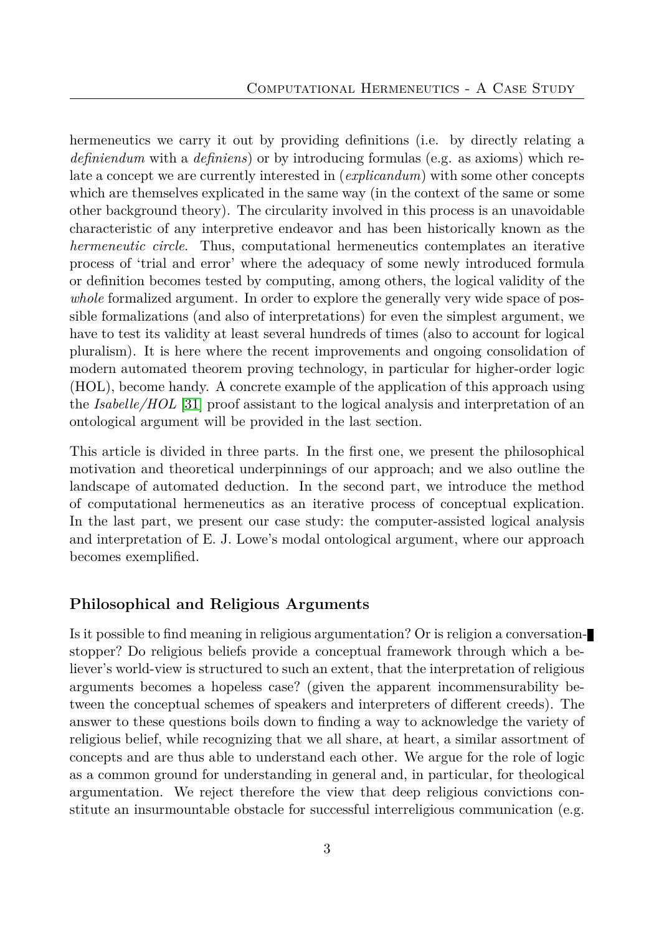hermeneutics we carry it out by providing definitions (i.e. by directly relating a *definiendum* with a *definiens*) or by introducing formulas (e.g. as axioms) which relate a concept we are currently interested in (*explicandum*) with some other concepts which are themselves explicated in the same way (in the context of the same or some other background theory). The circularity involved in this process is an unavoidable characteristic of any interpretive endeavor and has been historically known as the *hermeneutic circle*. Thus, computational hermeneutics contemplates an iterative process of 'trial and error' where the adequacy of some newly introduced formula or definition becomes tested by computing, among others, the logical validity of the *whole* formalized argument. In order to explore the generally very wide space of possible formalizations (and also of interpretations) for even the simplest argument, we have to test its validity at least several hundreds of times (also to account for logical pluralism). It is here where the recent improvements and ongoing consolidation of modern automated theorem proving technology, in particular for higher-order logic (HOL), become handy. A concrete example of the application of this approach using the *Isabelle/HOL* [\[31\]](#page-36-1) proof assistant to the logical analysis and interpretation of an ontological argument will be provided in the last section.

This article is divided in three parts. In the first one, we present the philosophical motivation and theoretical underpinnings of our approach; and we also outline the landscape of automated deduction. In the second part, we introduce the method of computational hermeneutics as an iterative process of conceptual explication. In the last part, we present our case study: the computer-assisted logical analysis and interpretation of E. J. Lowe's modal ontological argument, where our approach becomes exemplified.

# **Philosophical and Religious Arguments**

Is it possible to find meaning in religious argumentation? Or is religion a conversationstopper? Do religious beliefs provide a conceptual framework through which a believer's world-view is structured to such an extent, that the interpretation of religious arguments becomes a hopeless case? (given the apparent incommensurability between the conceptual schemes of speakers and interpreters of different creeds). The answer to these questions boils down to finding a way to acknowledge the variety of religious belief, while recognizing that we all share, at heart, a similar assortment of concepts and are thus able to understand each other. We argue for the role of logic as a common ground for understanding in general and, in particular, for theological argumentation. We reject therefore the view that deep religious convictions constitute an insurmountable obstacle for successful interreligious communication (e.g.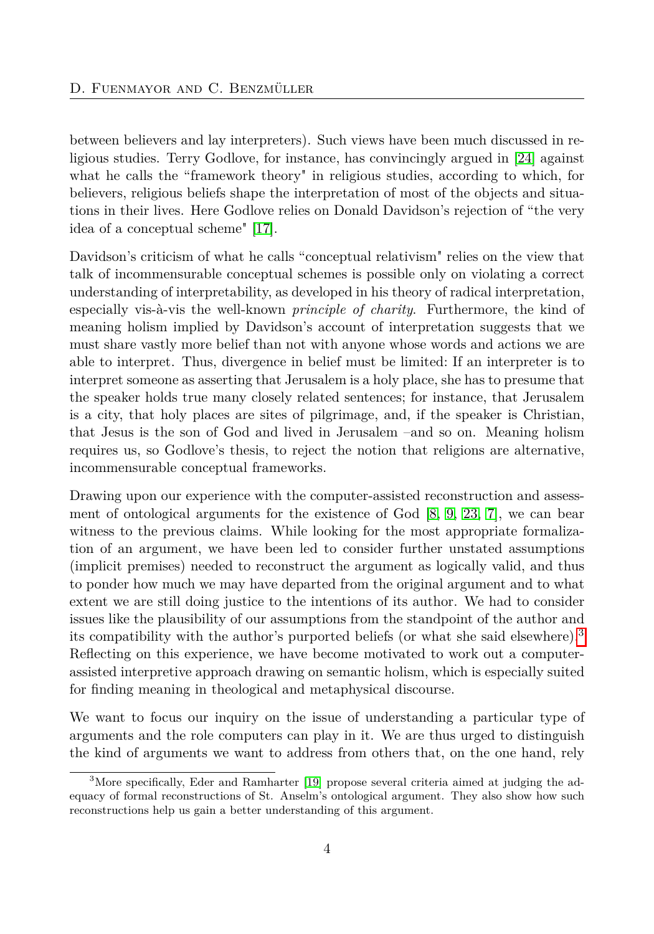between believers and lay interpreters). Such views have been much discussed in religious studies. Terry Godlove, for instance, has convincingly argued in [\[24\]](#page-35-4) against what he calls the "framework theory" in religious studies, according to which, for believers, religious beliefs shape the interpretation of most of the objects and situations in their lives. Here Godlove relies on Donald Davidson's rejection of "the very idea of a conceptual scheme" [\[17\]](#page-35-5).

Davidson's criticism of what he calls "conceptual relativism" relies on the view that talk of incommensurable conceptual schemes is possible only on violating a correct understanding of interpretability, as developed in his theory of radical interpretation, especially vis-à-vis the well-known *principle of charity*. Furthermore, the kind of meaning holism implied by Davidson's account of interpretation suggests that we must share vastly more belief than not with anyone whose words and actions we are able to interpret. Thus, divergence in belief must be limited: If an interpreter is to interpret someone as asserting that Jerusalem is a holy place, she has to presume that the speaker holds true many closely related sentences; for instance, that Jerusalem is a city, that holy places are sites of pilgrimage, and, if the speaker is Christian, that Jesus is the son of God and lived in Jerusalem –and so on. Meaning holism requires us, so Godlove's thesis, to reject the notion that religions are alternative, incommensurable conceptual frameworks.

Drawing upon our experience with the computer-assisted reconstruction and assessment of ontological arguments for the existence of God [\[8,](#page-34-0) [9,](#page-34-1) [23,](#page-35-6) [7\]](#page-34-2), we can bear witness to the previous claims. While looking for the most appropriate formalization of an argument, we have been led to consider further unstated assumptions (implicit premises) needed to reconstruct the argument as logically valid, and thus to ponder how much we may have departed from the original argument and to what extent we are still doing justice to the intentions of its author. We had to consider issues like the plausibility of our assumptions from the standpoint of the author and its compatibility with the author's purported beliefs (or what she said elsewhere).<sup>[3](#page-0-0)</sup> Reflecting on this experience, we have become motivated to work out a computerassisted interpretive approach drawing on semantic holism, which is especially suited for finding meaning in theological and metaphysical discourse.

We want to focus our inquiry on the issue of understanding a particular type of arguments and the role computers can play in it. We are thus urged to distinguish the kind of arguments we want to address from others that, on the one hand, rely

 $3$ More specifically, Eder and Ramharter [\[19\]](#page-35-7) propose several criteria aimed at judging the adequacy of formal reconstructions of St. Anselm's ontological argument. They also show how such reconstructions help us gain a better understanding of this argument.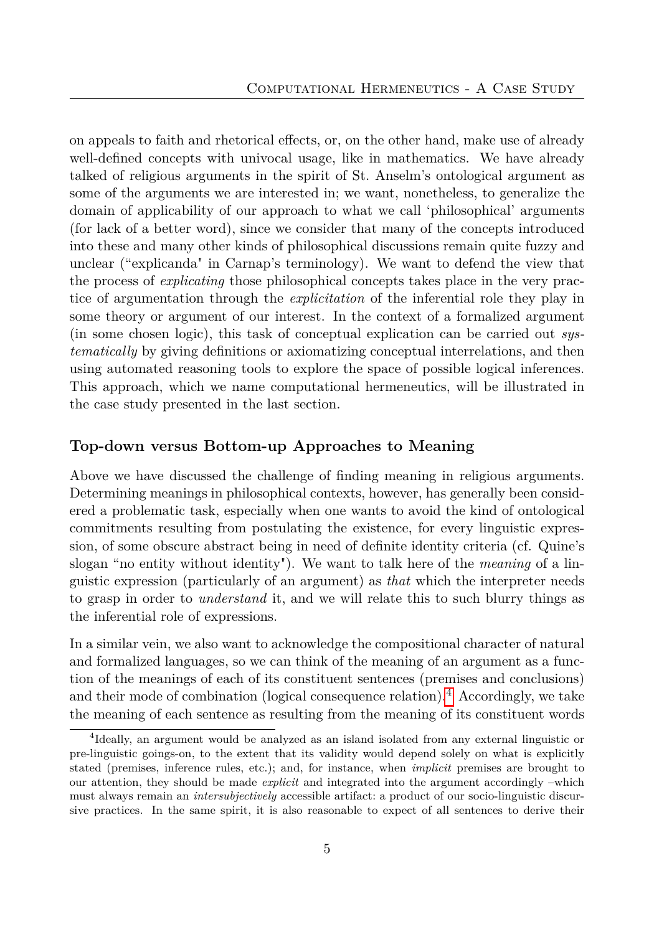on appeals to faith and rhetorical effects, or, on the other hand, make use of already well-defined concepts with univocal usage, like in mathematics. We have already talked of religious arguments in the spirit of St. Anselm's ontological argument as some of the arguments we are interested in; we want, nonetheless, to generalize the domain of applicability of our approach to what we call 'philosophical' arguments (for lack of a better word), since we consider that many of the concepts introduced into these and many other kinds of philosophical discussions remain quite fuzzy and unclear ("explicanda" in Carnap's terminology). We want to defend the view that the process of *explicating* those philosophical concepts takes place in the very practice of argumentation through the *explicitation* of the inferential role they play in some theory or argument of our interest. In the context of a formalized argument (in some chosen logic), this task of conceptual explication can be carried out *systematically* by giving definitions or axiomatizing conceptual interrelations, and then using automated reasoning tools to explore the space of possible logical inferences. This approach, which we name computational hermeneutics, will be illustrated in the case study presented in the last section.

## **Top-down versus Bottom-up Approaches to Meaning**

Above we have discussed the challenge of finding meaning in religious arguments. Determining meanings in philosophical contexts, however, has generally been considered a problematic task, especially when one wants to avoid the kind of ontological commitments resulting from postulating the existence, for every linguistic expression, of some obscure abstract being in need of definite identity criteria (cf. Quine's slogan "no entity without identity"). We want to talk here of the *meaning* of a linguistic expression (particularly of an argument) as *that* which the interpreter needs to grasp in order to *understand* it, and we will relate this to such blurry things as the inferential role of expressions.

In a similar vein, we also want to acknowledge the compositional character of natural and formalized languages, so we can think of the meaning of an argument as a function of the meanings of each of its constituent sentences (premises and conclusions) and their mode of combination (logical consequence relation).<sup>[4](#page-0-0)</sup> Accordingly, we take the meaning of each sentence as resulting from the meaning of its constituent words

<sup>4</sup> Ideally, an argument would be analyzed as an island isolated from any external linguistic or pre-linguistic goings-on, to the extent that its validity would depend solely on what is explicitly stated (premises, inference rules, etc.); and, for instance, when *implicit* premises are brought to our attention, they should be made *explicit* and integrated into the argument accordingly –which must always remain an *intersubjectively* accessible artifact: a product of our socio-linguistic discursive practices. In the same spirit, it is also reasonable to expect of all sentences to derive their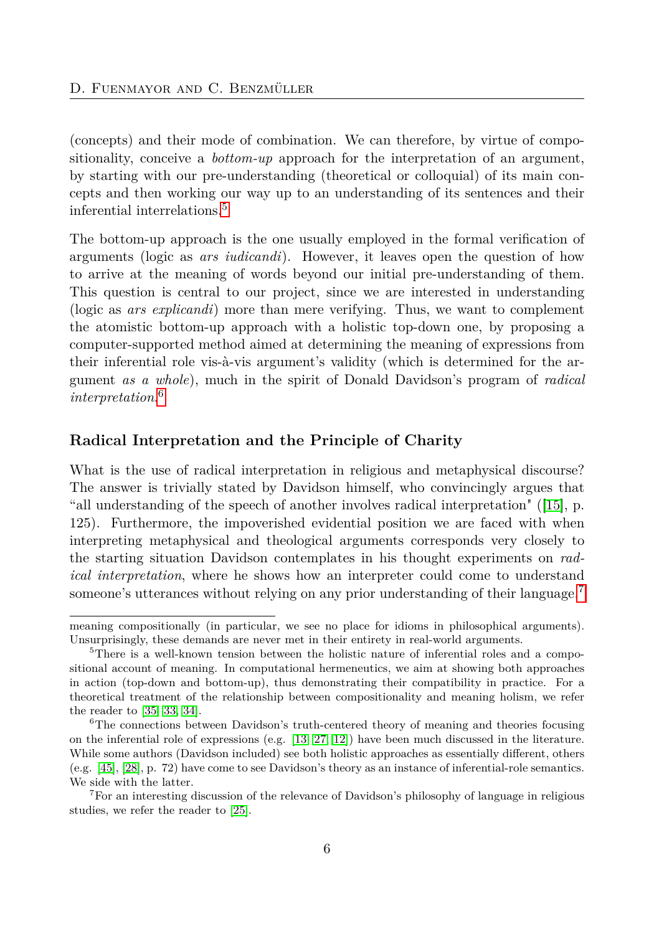(concepts) and their mode of combination. We can therefore, by virtue of compositionality, conceive a *bottom-up* approach for the interpretation of an argument, by starting with our pre-understanding (theoretical or colloquial) of its main concepts and then working our way up to an understanding of its sentences and their inferential interrelations.[5](#page-0-0)

The bottom-up approach is the one usually employed in the formal verification of arguments (logic as *ars iudicandi*). However, it leaves open the question of how to arrive at the meaning of words beyond our initial pre-understanding of them. This question is central to our project, since we are interested in understanding (logic as *ars explicandi*) more than mere verifying. Thus, we want to complement the atomistic bottom-up approach with a holistic top-down one, by proposing a computer-supported method aimed at determining the meaning of expressions from their inferential role vis-à-vis argument's validity (which is determined for the argument *as a whole*), much in the spirit of Donald Davidson's program of *radical interpretation*. [6](#page-0-0)

#### **Radical Interpretation and the Principle of Charity**

What is the use of radical interpretation in religious and metaphysical discourse? The answer is trivially stated by Davidson himself, who convincingly argues that "all understanding of the speech of another involves radical interpretation" ([\[15\]](#page-35-1), p. 125). Furthermore, the impoverished evidential position we are faced with when interpreting metaphysical and theological arguments corresponds very closely to the starting situation Davidson contemplates in his thought experiments on *radical interpretation*, where he shows how an interpreter could come to understand someone's utterances without relying on any prior understanding of their language.<sup>[7](#page-0-0)</sup>

meaning compositionally (in particular, we see no place for idioms in philosophical arguments). Unsurprisingly, these demands are never met in their entirety in real-world arguments.

<sup>&</sup>lt;sup>5</sup>There is a well-known tension between the holistic nature of inferential roles and a compositional account of meaning. In computational hermeneutics, we aim at showing both approaches in action (top-down and bottom-up), thus demonstrating their compatibility in practice. For a theoretical treatment of the relationship between compositionality and meaning holism, we refer the reader to [\[35,](#page-36-2) [33,](#page-36-3) [34\]](#page-36-4).

 ${}^{6}$ The connections between Davidson's truth-centered theory of meaning and theories focusing on the inferential role of expressions (e.g. [\[13,](#page-35-3) [27,](#page-35-8) [12\]](#page-35-9)) have been much discussed in the literature. While some authors (Davidson included) see both holistic approaches as essentially different, others (e.g. [\[45\]](#page-36-5), [\[28\]](#page-35-10), p. 72) have come to see Davidson's theory as an instance of inferential-role semantics. We side with the latter.

<sup>&</sup>lt;sup>7</sup>For an interesting discussion of the relevance of Davidson's philosophy of language in religious studies, we refer the reader to [\[25\]](#page-35-11).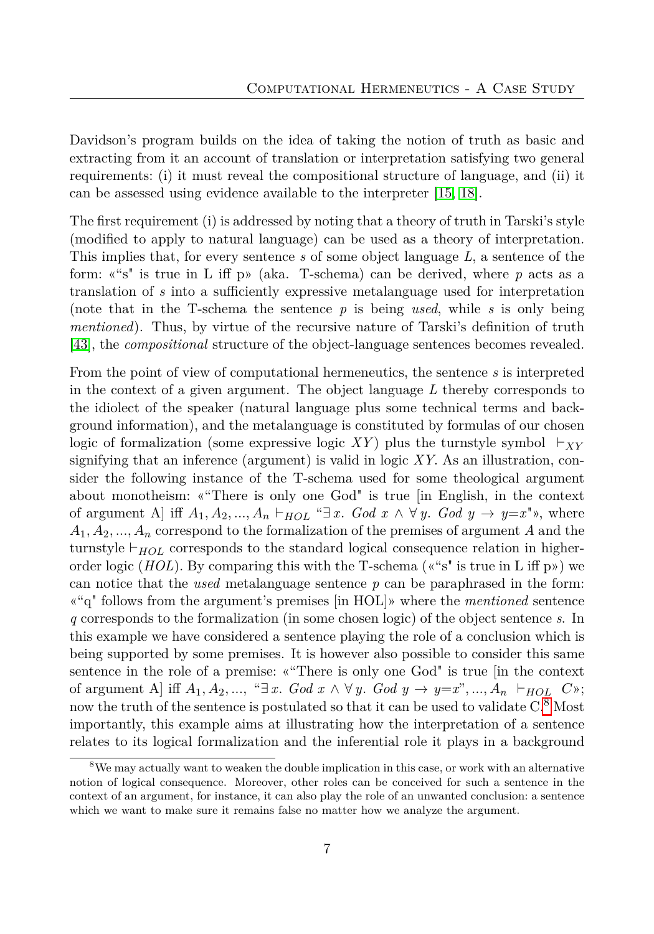Davidson's program builds on the idea of taking the notion of truth as basic and extracting from it an account of translation or interpretation satisfying two general requirements: (i) it must reveal the compositional structure of language, and (ii) it can be assessed using evidence available to the interpreter [\[15,](#page-35-1) [18\]](#page-35-0).

The first requirement (i) is addressed by noting that a theory of truth in Tarski's style (modified to apply to natural language) can be used as a theory of interpretation. This implies that, for every sentence *s* of some object language *L*, a sentence of the form: «"s" is true in L iff p» (aka. T-schema) can be derived, where *p* acts as a translation of *s* into a sufficiently expressive metalanguage used for interpretation (note that in the T-schema the sentence *p* is being *used*, while *s* is only being *mentioned*). Thus, by virtue of the recursive nature of Tarski's definition of truth [\[43\]](#page-36-6), the *compositional* structure of the object-language sentences becomes revealed.

From the point of view of computational hermeneutics, the sentence *s* is interpreted in the context of a given argument. The object language *L* thereby corresponds to the idiolect of the speaker (natural language plus some technical terms and background information), and the metalanguage is constituted by formulas of our chosen logic of formalization (some expressive logic XY) plus the turnstyle symbol  $\vdash_{XY}$ signifying that an inference (argument) is valid in logic *XY*. As an illustration, consider the following instance of the T-schema used for some theological argument about monotheism: «"There is only one God" is true [in English, in the context of argument A] iff  $A_1, A_2, ..., A_n \vdash_{HOL}$  " $\exists x$ *. God x*  $\wedge \forall y$ *. God y*  $\rightarrow$  *y*=*x*"», where *A*1*, A*2*, ..., A<sup>n</sup>* correspond to the formalization of the premises of argument *A* and the turnstyle  $\vdash_{HOL}$  corresponds to the standard logical consequence relation in higherorder logic (*HOL*). By comparing this with the T-schema («"s" is true in L iff p») we can notice that the *used* metalanguage sentence *p* can be paraphrased in the form: «"q" follows from the argument's premises [in HOL]» where the *mentioned* sentence *q* corresponds to the formalization (in some chosen logic) of the object sentence *s*. In this example we have considered a sentence playing the role of a conclusion which is being supported by some premises. It is however also possible to consider this same sentence in the role of a premise: «"There is only one God" is true [in the context of argument A] iff  $A_1, A_2, \ldots$ , " $\exists x$ *. God*  $x \wedge \forall y$ *. God*  $y \rightarrow y=x$ ", ...,  $A_n \vdash_{HOL} C$ "; now the truth of the sentence is postulated so that it can be used to validate C.<sup>[8](#page-0-0)</sup> Most importantly, this example aims at illustrating how the interpretation of a sentence relates to its logical formalization and the inferential role it plays in a background

<sup>&</sup>lt;sup>8</sup>We may actually want to weaken the double implication in this case, or work with an alternative notion of logical consequence. Moreover, other roles can be conceived for such a sentence in the context of an argument, for instance, it can also play the role of an unwanted conclusion: a sentence which we want to make sure it remains false no matter how we analyze the argument.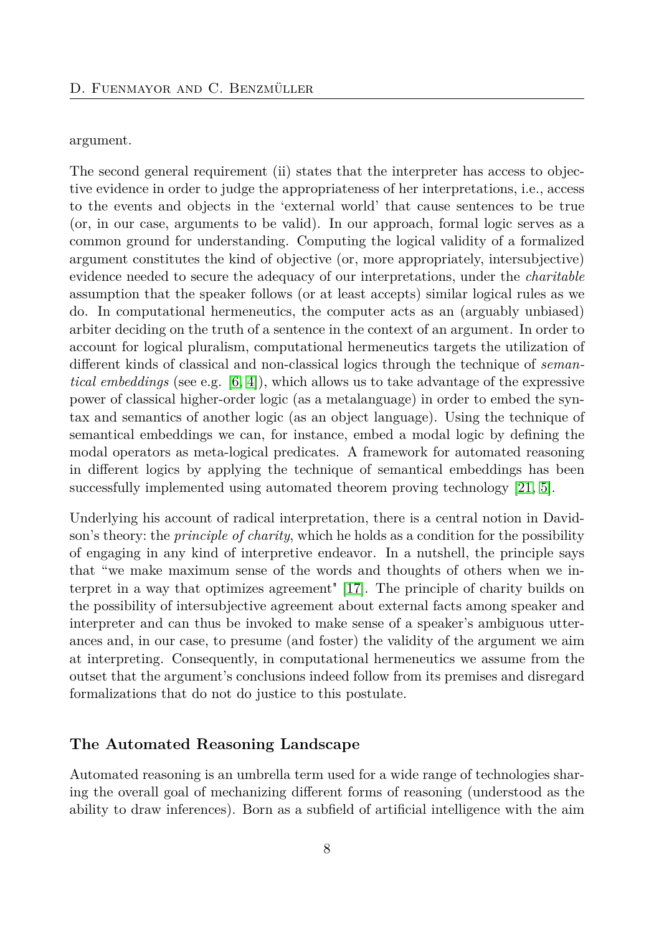#### argument.

The second general requirement (ii) states that the interpreter has access to objective evidence in order to judge the appropriateness of her interpretations, i.e., access to the events and objects in the 'external world' that cause sentences to be true (or, in our case, arguments to be valid). In our approach, formal logic serves as a common ground for understanding. Computing the logical validity of a formalized argument constitutes the kind of objective (or, more appropriately, intersubjective) evidence needed to secure the adequacy of our interpretations, under the *charitable* assumption that the speaker follows (or at least accepts) similar logical rules as we do. In computational hermeneutics, the computer acts as an (arguably unbiased) arbiter deciding on the truth of a sentence in the context of an argument. In order to account for logical pluralism, computational hermeneutics targets the utilization of different kinds of classical and non-classical logics through the technique of *semantical embeddings* (see e.g. [\[6,](#page-34-3) [4\]](#page-34-4)), which allows us to take advantage of the expressive power of classical higher-order logic (as a metalanguage) in order to embed the syntax and semantics of another logic (as an object language). Using the technique of semantical embeddings we can, for instance, embed a modal logic by defining the modal operators as meta-logical predicates. A framework for automated reasoning in different logics by applying the technique of semantical embeddings has been successfully implemented using automated theorem proving technology [\[21,](#page-35-12) [5\]](#page-34-5).

Underlying his account of radical interpretation, there is a central notion in Davidson's theory: the *principle of charity*, which he holds as a condition for the possibility of engaging in any kind of interpretive endeavor. In a nutshell, the principle says that "we make maximum sense of the words and thoughts of others when we interpret in a way that optimizes agreement" [\[17\]](#page-35-5). The principle of charity builds on the possibility of intersubjective agreement about external facts among speaker and interpreter and can thus be invoked to make sense of a speaker's ambiguous utterances and, in our case, to presume (and foster) the validity of the argument we aim at interpreting. Consequently, in computational hermeneutics we assume from the outset that the argument's conclusions indeed follow from its premises and disregard formalizations that do not do justice to this postulate.

#### **The Automated Reasoning Landscape**

Automated reasoning is an umbrella term used for a wide range of technologies sharing the overall goal of mechanizing different forms of reasoning (understood as the ability to draw inferences). Born as a subfield of artificial intelligence with the aim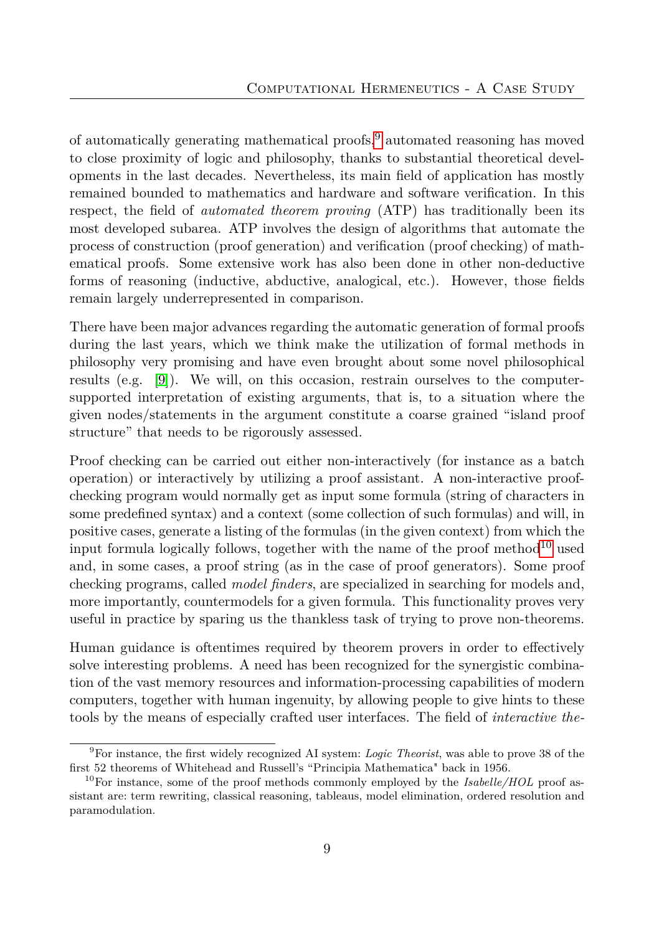of automatically generating mathematical proofs,<sup>[9](#page-0-0)</sup> automated reasoning has moved to close proximity of logic and philosophy, thanks to substantial theoretical developments in the last decades. Nevertheless, its main field of application has mostly remained bounded to mathematics and hardware and software verification. In this respect, the field of *automated theorem proving* (ATP) has traditionally been its most developed subarea. ATP involves the design of algorithms that automate the process of construction (proof generation) and verification (proof checking) of mathematical proofs. Some extensive work has also been done in other non-deductive forms of reasoning (inductive, abductive, analogical, etc.). However, those fields remain largely underrepresented in comparison.

There have been major advances regarding the automatic generation of formal proofs during the last years, which we think make the utilization of formal methods in philosophy very promising and have even brought about some novel philosophical results (e.g. [\[9\]](#page-34-1)). We will, on this occasion, restrain ourselves to the computersupported interpretation of existing arguments, that is, to a situation where the given nodes/statements in the argument constitute a coarse grained "island proof structure" that needs to be rigorously assessed.

Proof checking can be carried out either non-interactively (for instance as a batch operation) or interactively by utilizing a proof assistant. A non-interactive proofchecking program would normally get as input some formula (string of characters in some predefined syntax) and a context (some collection of such formulas) and will, in positive cases, generate a listing of the formulas (in the given context) from which the input formula logically follows, together with the name of the proof method<sup>[10](#page-0-0)</sup> used and, in some cases, a proof string (as in the case of proof generators). Some proof checking programs, called *model finders*, are specialized in searching for models and, more importantly, countermodels for a given formula. This functionality proves very useful in practice by sparing us the thankless task of trying to prove non-theorems.

Human guidance is oftentimes required by theorem provers in order to effectively solve interesting problems. A need has been recognized for the synergistic combination of the vast memory resources and information-processing capabilities of modern computers, together with human ingenuity, by allowing people to give hints to these tools by the means of especially crafted user interfaces. The field of *interactive the-*

<sup>9</sup>For instance, the first widely recognized AI system: *Logic Theorist*, was able to prove 38 of the first 52 theorems of Whitehead and Russell's "Principia Mathematica" back in 1956.

<sup>&</sup>lt;sup>10</sup>For instance, some of the proof methods commonly employed by the *Isabelle/HOL* proof assistant are: term rewriting, classical reasoning, tableaus, model elimination, ordered resolution and paramodulation.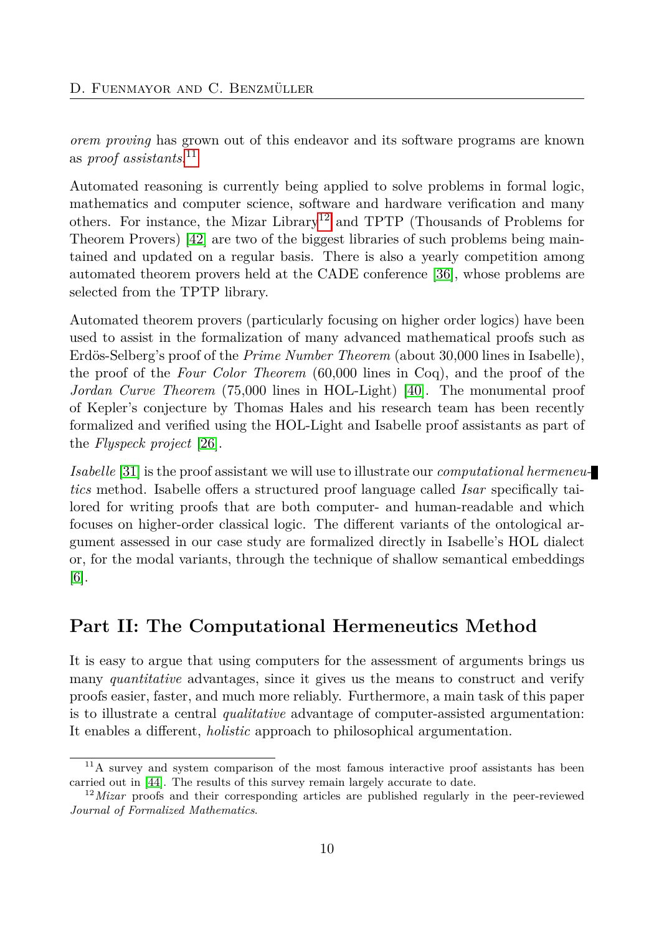*orem proving* has grown out of this endeavor and its software programs are known as *proof assistants*. [11](#page-0-0)

Automated reasoning is currently being applied to solve problems in formal logic, mathematics and computer science, software and hardware verification and many others. For instance, the Mizar Library<sup>[12](#page-0-0)</sup> and TPTP (Thousands of Problems for Theorem Provers) [\[42\]](#page-36-7) are two of the biggest libraries of such problems being maintained and updated on a regular basis. There is also a yearly competition among automated theorem provers held at the CADE conference [\[36\]](#page-36-8), whose problems are selected from the TPTP library.

Automated theorem provers (particularly focusing on higher order logics) have been used to assist in the formalization of many advanced mathematical proofs such as Erdös-Selberg's proof of the *Prime Number Theorem* (about 30,000 lines in Isabelle), the proof of the *Four Color Theorem* (60,000 lines in Coq), and the proof of the *Jordan Curve Theorem* (75,000 lines in HOL-Light) [\[40\]](#page-36-9). The monumental proof of Kepler's conjecture by Thomas Hales and his research team has been recently formalized and verified using the HOL-Light and Isabelle proof assistants as part of the *Flyspeck project* [\[26\]](#page-35-13).

*Isabelle* [\[31\]](#page-36-1) is the proof assistant we will use to illustrate our *computational hermeneutics* method. Isabelle offers a structured proof language called *Isar* specifically tailored for writing proofs that are both computer- and human-readable and which focuses on higher-order classical logic. The different variants of the ontological argument assessed in our case study are formalized directly in Isabelle's HOL dialect or, for the modal variants, through the technique of shallow semantical embeddings [\[6\]](#page-34-3).

# **Part II: The Computational Hermeneutics Method**

It is easy to argue that using computers for the assessment of arguments brings us many *quantitative* advantages, since it gives us the means to construct and verify proofs easier, faster, and much more reliably. Furthermore, a main task of this paper is to illustrate a central *qualitative* advantage of computer-assisted argumentation: It enables a different, *holistic* approach to philosophical argumentation.

<sup>&</sup>lt;sup>11</sup>A survey and system comparison of the most famous interactive proof assistants has been carried out in [\[44\]](#page-36-10). The results of this survey remain largely accurate to date.

<sup>&</sup>lt;sup>12</sup>Mizar proofs and their corresponding articles are published regularly in the peer-reviewed *Journal of Formalized Mathematics*.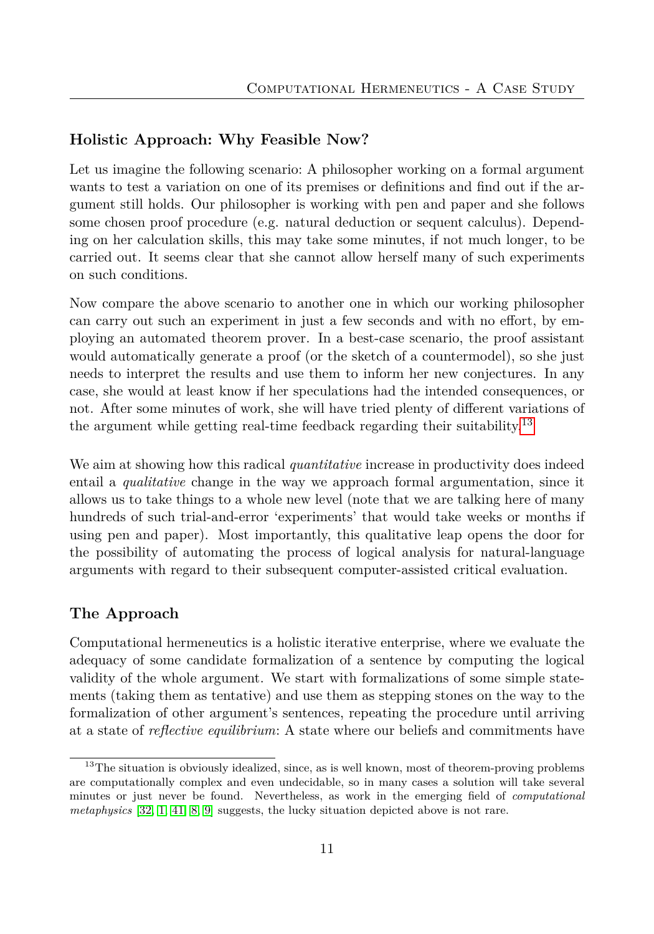# **Holistic Approach: Why Feasible Now?**

Let us imagine the following scenario: A philosopher working on a formal argument wants to test a variation on one of its premises or definitions and find out if the argument still holds. Our philosopher is working with pen and paper and she follows some chosen proof procedure (e.g. natural deduction or sequent calculus). Depending on her calculation skills, this may take some minutes, if not much longer, to be carried out. It seems clear that she cannot allow herself many of such experiments on such conditions.

Now compare the above scenario to another one in which our working philosopher can carry out such an experiment in just a few seconds and with no effort, by employing an automated theorem prover. In a best-case scenario, the proof assistant would automatically generate a proof (or the sketch of a countermodel), so she just needs to interpret the results and use them to inform her new conjectures. In any case, she would at least know if her speculations had the intended consequences, or not. After some minutes of work, she will have tried plenty of different variations of the argument while getting real-time feedback regarding their suitability.<sup>[13](#page-0-0)</sup>

We aim at showing how this radical *quantitative* increase in productivity does indeed entail a *qualitative* change in the way we approach formal argumentation, since it allows us to take things to a whole new level (note that we are talking here of many hundreds of such trial-and-error 'experiments' that would take weeks or months if using pen and paper). Most importantly, this qualitative leap opens the door for the possibility of automating the process of logical analysis for natural-language arguments with regard to their subsequent computer-assisted critical evaluation.

# **The Approach**

Computational hermeneutics is a holistic iterative enterprise, where we evaluate the adequacy of some candidate formalization of a sentence by computing the logical validity of the whole argument. We start with formalizations of some simple statements (taking them as tentative) and use them as stepping stones on the way to the formalization of other argument's sentences, repeating the procedure until arriving at a state of *reflective equilibrium*: A state where our beliefs and commitments have

<sup>&</sup>lt;sup>13</sup>The situation is obviously idealized, since, as is well known, most of theorem-proving problems are computationally complex and even undecidable, so in many cases a solution will take several minutes or just never be found. Nevertheless, as work in the emerging field of *computational metaphysics* [\[32,](#page-36-11) [1,](#page-34-6) [41,](#page-36-12) [8,](#page-34-0) [9\]](#page-34-1) suggests, the lucky situation depicted above is not rare.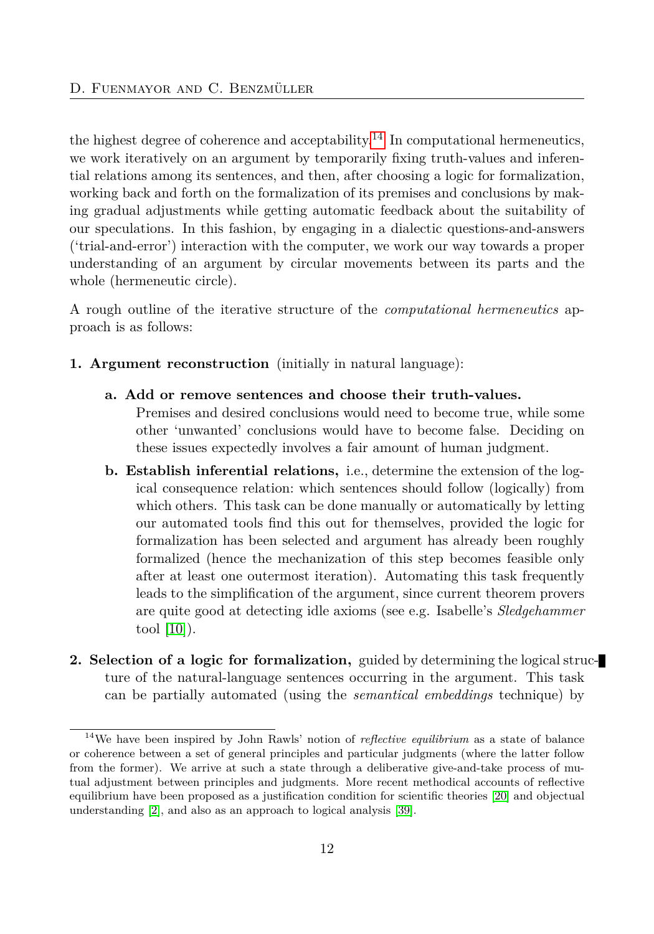the highest degree of coherence and acceptability.<sup>[14](#page-0-0)</sup> In computational hermeneutics, we work iteratively on an argument by temporarily fixing truth-values and inferential relations among its sentences, and then, after choosing a logic for formalization, working back and forth on the formalization of its premises and conclusions by making gradual adjustments while getting automatic feedback about the suitability of our speculations. In this fashion, by engaging in a dialectic questions-and-answers ('trial-and-error') interaction with the computer, we work our way towards a proper understanding of an argument by circular movements between its parts and the whole (hermeneutic circle).

A rough outline of the iterative structure of the *computational hermeneutics* approach is as follows:

- **1. Argument reconstruction** (initially in natural language):
	- **a. Add or remove sentences and choose their truth-values.** Premises and desired conclusions would need to become true, while some other 'unwanted' conclusions would have to become false. Deciding on these issues expectedly involves a fair amount of human judgment.
	- **b. Establish inferential relations,** i.e., determine the extension of the logical consequence relation: which sentences should follow (logically) from which others. This task can be done manually or automatically by letting our automated tools find this out for themselves, provided the logic for formalization has been selected and argument has already been roughly formalized (hence the mechanization of this step becomes feasible only after at least one outermost iteration). Automating this task frequently leads to the simplification of the argument, since current theorem provers are quite good at detecting idle axioms (see e.g. Isabelle's *Sledgehammer* tool [\[10\]](#page-34-7)).
- **2. Selection of a logic for formalization,** guided by determining the logical structure of the natural-language sentences occurring in the argument. This task can be partially automated (using the *semantical embeddings* technique) by

<sup>14</sup>We have been inspired by John Rawls' notion of *reflective equilibrium* as a state of balance or coherence between a set of general principles and particular judgments (where the latter follow from the former). We arrive at such a state through a deliberative give-and-take process of mutual adjustment between principles and judgments. More recent methodical accounts of reflective equilibrium have been proposed as a justification condition for scientific theories [\[20\]](#page-35-14) and objectual understanding [\[2\]](#page-34-8), and also as an approach to logical analysis [\[39\]](#page-36-13).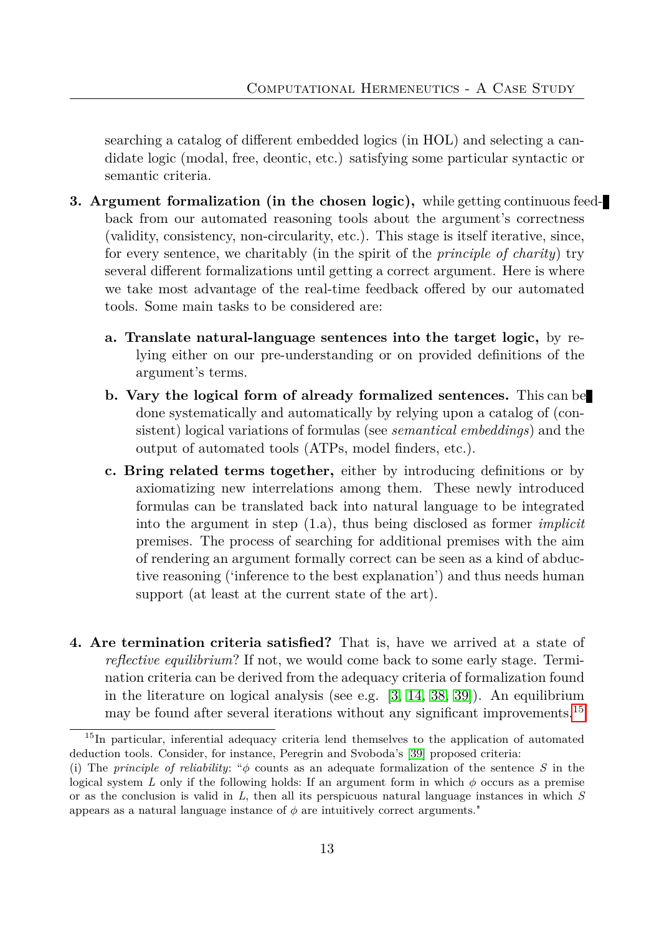searching a catalog of different embedded logics (in HOL) and selecting a candidate logic (modal, free, deontic, etc.) satisfying some particular syntactic or semantic criteria.

- **3. Argument formalization (in the chosen logic),** while getting continuous feedback from our automated reasoning tools about the argument's correctness (validity, consistency, non-circularity, etc.). This stage is itself iterative, since, for every sentence, we charitably (in the spirit of the *principle of charity*) try several different formalizations until getting a correct argument. Here is where we take most advantage of the real-time feedback offered by our automated tools. Some main tasks to be considered are:
	- **a. Translate natural-language sentences into the target logic,** by relying either on our pre-understanding or on provided definitions of the argument's terms.
	- **b. Vary the logical form of already formalized sentences.** This can be done systematically and automatically by relying upon a catalog of (consistent) logical variations of formulas (see *semantical embeddings*) and the output of automated tools (ATPs, model finders, etc.).
	- **c. Bring related terms together,** either by introducing definitions or by axiomatizing new interrelations among them. These newly introduced formulas can be translated back into natural language to be integrated into the argument in step (1.a), thus being disclosed as former *implicit* premises. The process of searching for additional premises with the aim of rendering an argument formally correct can be seen as a kind of abductive reasoning ('inference to the best explanation') and thus needs human support (at least at the current state of the art).
- **4. Are termination criteria satisfied?** That is, have we arrived at a state of *reflective equilibrium*? If not, we would come back to some early stage. Termination criteria can be derived from the adequacy criteria of formalization found in the literature on logical analysis (see e.g. [\[3,](#page-34-9) [14,](#page-35-15) [38,](#page-36-14) [39\]](#page-36-13)). An equilibrium may be found after several iterations without any significant improvements.[15](#page-0-0)

<sup>&</sup>lt;sup>15</sup>In particular, inferential adequacy criteria lend themselves to the application of automated deduction tools. Consider, for instance, Peregrin and Svoboda's [\[39\]](#page-36-13) proposed criteria:

<sup>(</sup>i) The *principle of reliability*: "*φ* counts as an adequate formalization of the sentence *S* in the logical system *L* only if the following holds: If an argument form in which *φ* occurs as a premise or as the conclusion is valid in *L*, then all its perspicuous natural language instances in which *S* appears as a natural language instance of  $\phi$  are intuitively correct arguments."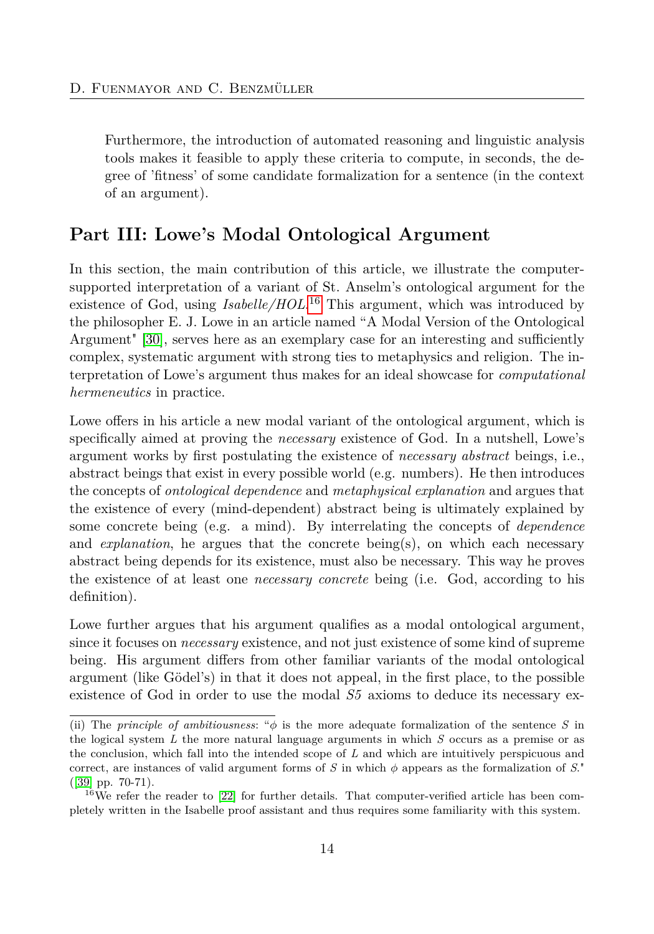Furthermore, the introduction of automated reasoning and linguistic analysis tools makes it feasible to apply these criteria to compute, in seconds, the degree of 'fitness' of some candidate formalization for a sentence (in the context of an argument).

# **Part III: Lowe's Modal Ontological Argument**

In this section, the main contribution of this article, we illustrate the computersupported interpretation of a variant of St. Anselm's ontological argument for the existence of God, using *Isabelle/HOL*. [16](#page-0-0) This argument, which was introduced by the philosopher E. J. Lowe in an article named "A Modal Version of the Ontological Argument" [\[30\]](#page-36-15), serves here as an exemplary case for an interesting and sufficiently complex, systematic argument with strong ties to metaphysics and religion. The interpretation of Lowe's argument thus makes for an ideal showcase for *computational hermeneutics* in practice.

Lowe offers in his article a new modal variant of the ontological argument, which is specifically aimed at proving the *necessary* existence of God. In a nutshell, Lowe's argument works by first postulating the existence of *necessary abstract* beings, i.e., abstract beings that exist in every possible world (e.g. numbers). He then introduces the concepts of *ontological dependence* and *metaphysical explanation* and argues that the existence of every (mind-dependent) abstract being is ultimately explained by some concrete being (e.g. a mind). By interrelating the concepts of *dependence* and *explanation*, he argues that the concrete being(s), on which each necessary abstract being depends for its existence, must also be necessary. This way he proves the existence of at least one *necessary concrete* being (i.e. God, according to his definition).

Lowe further argues that his argument qualifies as a modal ontological argument, since it focuses on *necessary* existence, and not just existence of some kind of supreme being. His argument differs from other familiar variants of the modal ontological argument (like Gödel's) in that it does not appeal, in the first place, to the possible existence of God in order to use the modal *S5* axioms to deduce its necessary ex-

<sup>(</sup>ii) The *principle of ambitiousness*: " $\phi$  is the more adequate formalization of the sentence *S* in the logical system *L* the more natural language arguments in which *S* occurs as a premise or as the conclusion, which fall into the intended scope of *L* and which are intuitively perspicuous and correct, are instances of valid argument forms of *S* in which  $\phi$  appears as the formalization of *S*." ([\[39\]](#page-36-13) pp. 70-71).

 $16\text{We refer the reader to }[22]$  $16\text{We refer the reader to }[22]$  for further details. That computer-verified article has been completely written in the Isabelle proof assistant and thus requires some familiarity with this system.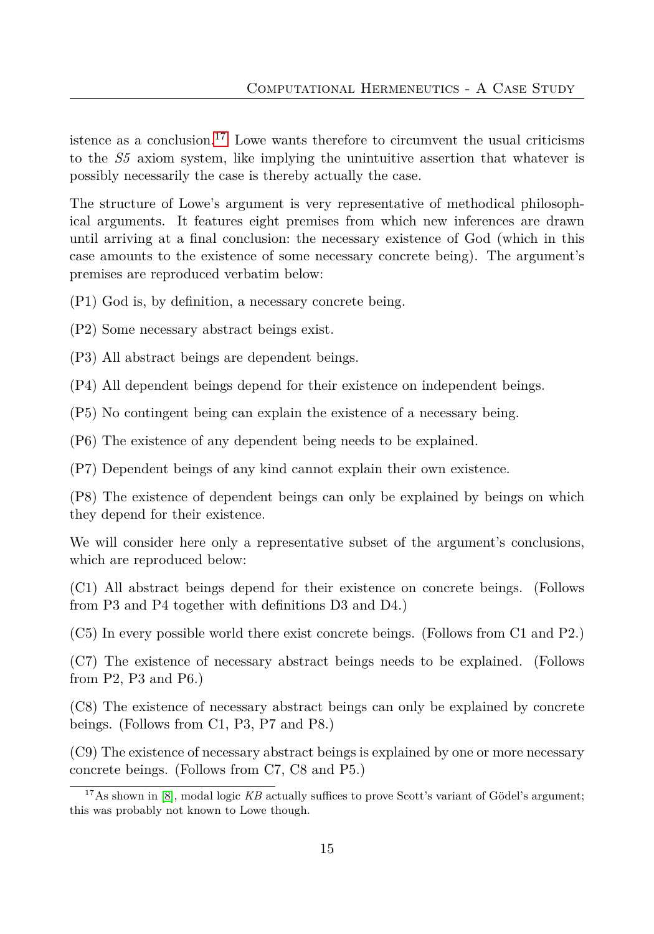istence as a conclusion.<sup>[17](#page-0-0)</sup> Lowe wants therefore to circumvent the usual criticisms to the *S5* axiom system, like implying the unintuitive assertion that whatever is possibly necessarily the case is thereby actually the case.

The structure of Lowe's argument is very representative of methodical philosophical arguments. It features eight premises from which new inferences are drawn until arriving at a final conclusion: the necessary existence of God (which in this case amounts to the existence of some necessary concrete being). The argument's premises are reproduced verbatim below:

(P1) God is, by definition, a necessary concrete being.

(P2) Some necessary abstract beings exist.

(P3) All abstract beings are dependent beings.

(P4) All dependent beings depend for their existence on independent beings.

(P5) No contingent being can explain the existence of a necessary being.

(P6) The existence of any dependent being needs to be explained.

(P7) Dependent beings of any kind cannot explain their own existence.

(P8) The existence of dependent beings can only be explained by beings on which they depend for their existence.

We will consider here only a representative subset of the argument's conclusions, which are reproduced below:

(C1) All abstract beings depend for their existence on concrete beings. (Follows from P3 and P4 together with definitions D3 and D4.)

(C5) In every possible world there exist concrete beings. (Follows from C1 and P2.)

(C7) The existence of necessary abstract beings needs to be explained. (Follows from P2, P3 and P6.)

(C8) The existence of necessary abstract beings can only be explained by concrete beings. (Follows from C1, P3, P7 and P8.)

(C9) The existence of necessary abstract beings is explained by one or more necessary concrete beings. (Follows from C7, C8 and P5.)

<sup>&</sup>lt;sup>17</sup>As shown in [\[8\]](#page-34-0), modal logic *KB* actually suffices to prove Scott's variant of Gödel's argument; this was probably not known to Lowe though.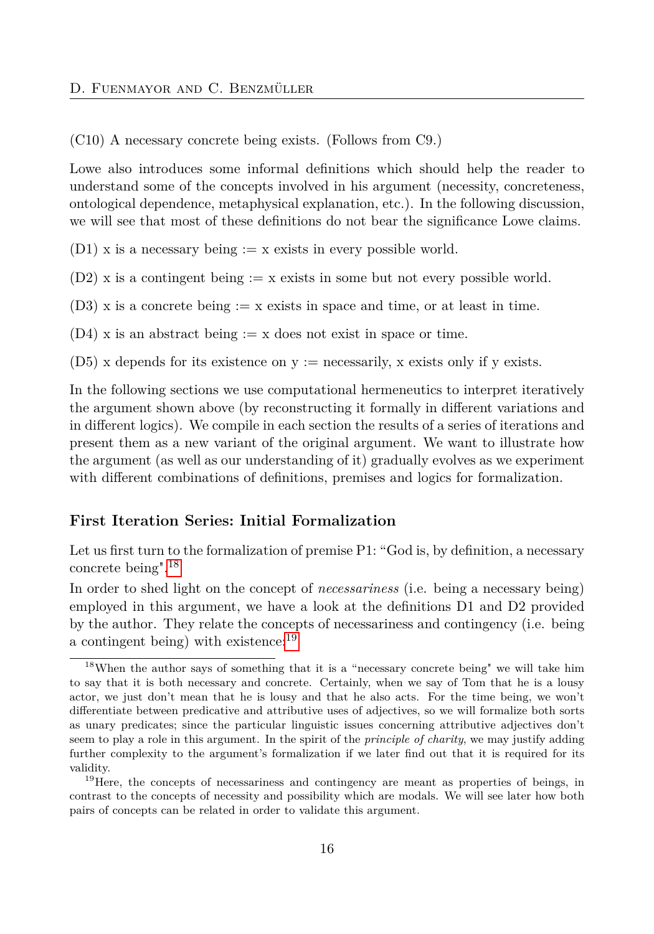(C10) A necessary concrete being exists. (Follows from C9.)

Lowe also introduces some informal definitions which should help the reader to understand some of the concepts involved in his argument (necessity, concreteness, ontological dependence, metaphysical explanation, etc.). In the following discussion, we will see that most of these definitions do not bear the significance Lowe claims.

 $(D1)$  x is a necessary being  $:= x$  exists in every possible world.

 $(D2)$  x is a contingent being  $:= x$  exists in some but not every possible world.

 $(D3)$  x is a concrete being  $:=$  x exists in space and time, or at least in time.

 $(D4)$  x is an abstract being  $:= x$  does not exist in space or time.

 $(D5)$  x depends for its existence on y := necessarily, x exists only if y exists.

In the following sections we use computational hermeneutics to interpret iteratively the argument shown above (by reconstructing it formally in different variations and in different logics). We compile in each section the results of a series of iterations and present them as a new variant of the original argument. We want to illustrate how the argument (as well as our understanding of it) gradually evolves as we experiment with different combinations of definitions, premises and logics for formalization.

# **First Iteration Series: Initial Formalization**

Let us first turn to the formalization of premise P1: "God is, by definition, a necessary concrete being".[18](#page-0-0)

In order to shed light on the concept of *necessariness* (i.e. being a necessary being) employed in this argument, we have a look at the definitions D1 and D2 provided by the author. They relate the concepts of necessariness and contingency (i.e. being a contingent being) with existence:<sup>[19](#page-0-0)</sup>

<sup>&</sup>lt;sup>18</sup>When the author says of something that it is a "necessary concrete being" we will take him to say that it is both necessary and concrete. Certainly, when we say of Tom that he is a lousy actor, we just don't mean that he is lousy and that he also acts. For the time being, we won't differentiate between predicative and attributive uses of adjectives, so we will formalize both sorts as unary predicates; since the particular linguistic issues concerning attributive adjectives don't seem to play a role in this argument. In the spirit of the *principle of charity*, we may justify adding further complexity to the argument's formalization if we later find out that it is required for its validity.

 $19$  Here, the concepts of necessariness and contingency are meant as properties of beings, in contrast to the concepts of necessity and possibility which are modals. We will see later how both pairs of concepts can be related in order to validate this argument.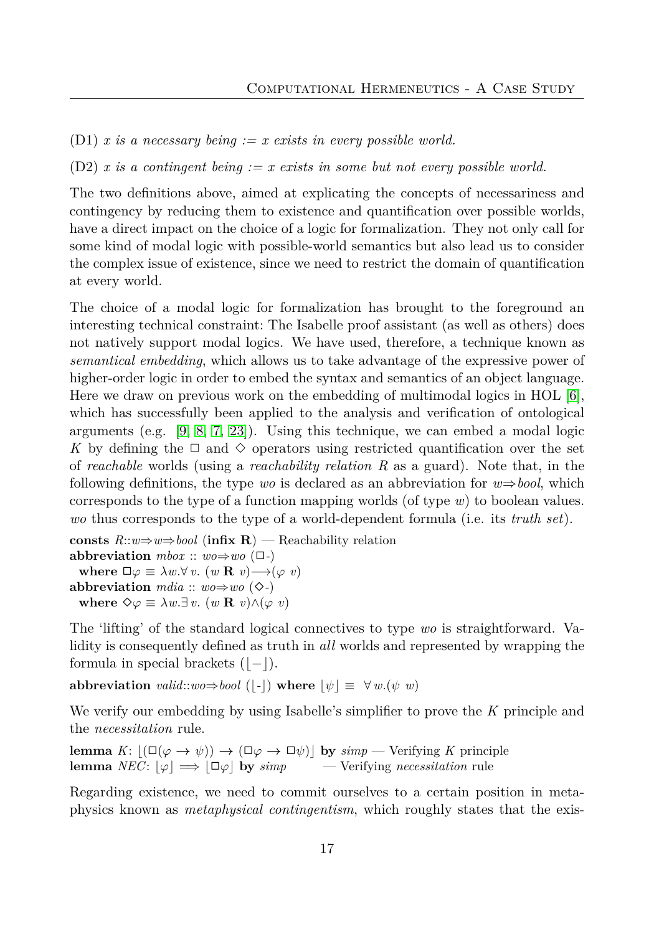(D1) *x is a necessary being := x exists in every possible world.*

#### (D2) *x is a contingent being := x exists in some but not every possible world.*

The two definitions above, aimed at explicating the concepts of necessariness and contingency by reducing them to existence and quantification over possible worlds, have a direct impact on the choice of a logic for formalization. They not only call for some kind of modal logic with possible-world semantics but also lead us to consider the complex issue of existence, since we need to restrict the domain of quantification at every world.

The choice of a modal logic for formalization has brought to the foreground an interesting technical constraint: The Isabelle proof assistant (as well as others) does not natively support modal logics. We have used, therefore, a technique known as *semantical embedding*, which allows us to take advantage of the expressive power of higher-order logic in order to embed the syntax and semantics of an object language. Here we draw on previous work on the embedding of multimodal logics in HOL [\[6\]](#page-34-3), which has successfully been applied to the analysis and verification of ontological arguments (e.g. [\[9,](#page-34-1) [8,](#page-34-0) [7,](#page-34-2) [23\]](#page-35-6)). Using this technique, we can embed a modal logic *K* by defining the  $\Box$  and  $\diamond$  operators using restricted quantification over the set of *reachable* worlds (using a *reachability relation R* as a guard). Note that, in the following definitions, the type *wo* is declared as an abbreviation for  $w \Rightarrow bool$ , which corresponds to the type of a function mapping worlds (of type *w*) to boolean values. *wo* thus corresponds to the type of a world-dependent formula (i.e. its *truth set*).

**consts**  $R::w \Rightarrow w \Rightarrow bool$  (**infix R**) — Reachability relation **abbreviation**  $mbox :: wo \Rightarrow wo (\Box \neg)$ **where**  $\Box \varphi \equiv \lambda w \forall v$ .  $(w \mathbf{R} v) \rightarrow (\varphi v)$ **abbreviation**  $mdia :: wo \Rightarrow wo (\diamondsuit-)$ **where**  $\diamond \varphi \equiv \lambda w \cdot \exists v \cdot (w \mathbf{R} v) \wedge (\varphi v)$ 

The 'lifting' of the standard logical connectives to type *wo* is straightforward. Validity is consequently defined as truth in *all* worlds and represented by wrapping the formula in special brackets  $(|-|)$ .

**abbreviation**  $valid::wo \Rightarrow bool$  (|-|) where  $|\psi| \equiv \forall w.( \psi w)$ 

We verify our embedding by using Isabelle's simplifier to prove the *K* principle and the *necessitation* rule.

**lemma**  $K: |(\Box(\varphi \to \psi)) \to (\Box \varphi \to \Box \psi)|$  by  $\text{sim} \psi \to \text{V}$  verifying  $K$  principle **lemma** *NEC*:  $[\varphi] \implies [\Box \varphi]$  **by**  $\text{simp } \longrightarrow \text{Verifying necessitation rule}$ 

Regarding existence, we need to commit ourselves to a certain position in metaphysics known as *metaphysical contingentism*, which roughly states that the exis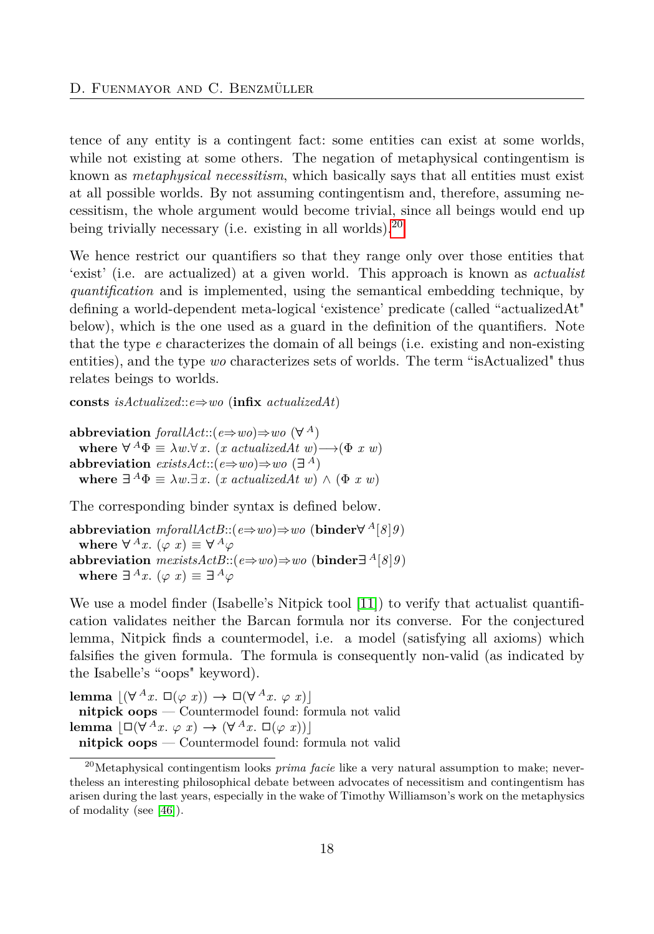tence of any entity is a contingent fact: some entities can exist at some worlds, while not existing at some others. The negation of metaphysical contingentism is known as *metaphysical necessitism*, which basically says that all entities must exist at all possible worlds. By not assuming contingentism and, therefore, assuming necessitism, the whole argument would become trivial, since all beings would end up being trivially necessary (i.e. existing in all worlds).  $20$ 

We hence restrict our quantifiers so that they range only over those entities that 'exist' (i.e. are actualized) at a given world. This approach is known as *actualist quantification* and is implemented, using the semantical embedding technique, by defining a world-dependent meta-logical 'existence' predicate (called "actualizedAt" below), which is the one used as a guard in the definition of the quantifiers. Note that the type *e* characterizes the domain of all beings (i.e. existing and non-existing entities), and the type *wo* characterizes sets of worlds. The term "isActualized" thus relates beings to worlds.

**consts** *isActualized*::*e*⇒*wo* (**infix** *actualizedAt*)

**abbreviation**  $\text{forall} Act::(e \Rightarrow wo) \Rightarrow wo \ (\forall A)$ **where**  $\forall A \Phi \equiv \lambda w. \forall x.$  (*x actualizedAt w*)  $\longrightarrow$  ( $\Phi x w$ ) **abbreviation** *existsAct*:: $(e \Rightarrow wo) \Rightarrow wo \ (\exists^A)$ **where**  $\exists^{A} \Phi \equiv \lambda w \cdot \exists x \cdot (x \text{ } actualizedAt \text{ } w) \wedge (\Phi \text{ } x \text{ } w)$ 

The corresponding binder syntax is defined below.

 $a$ bbreviation  $mforallActB::(e \Rightarrow wo) \Rightarrow wo$  (binder $\forall A[\beta]\emptyset$ ) **where**  $\forall^{A}x$ *.* ( $\varphi$  *x*)  $\equiv \forall^{A}\varphi$  $a$ **bbreviation**  $mexistsActB::(e \Rightarrow wo) \Rightarrow wo$  ( $binder\exists A[B|g)$ ) **where**  $\exists^{A}x$ *.* ( $\varphi$  *x*)  $\equiv \exists^{A}\varphi$ 

We use a model finder (Isabelle's Nitpick tool [\[11\]](#page-34-10)) to verify that actualist quantification validates neither the Barcan formula nor its converse. For the conjectured lemma, Nitpick finds a countermodel, i.e. a model (satisfying all axioms) which falsifies the given formula. The formula is consequently non-valid (as indicated by the Isabelle's "oops" keyword).

 $\text{lemma } [(\forall^{A}x, \Box(\varphi x)) \rightarrow \Box(\forall^{A}x, \varphi x)]$ **nitpick oops** — Countermodel found: formula not valid **lemma**  $[\Box(\forall^{A}x, \varphi x) \rightarrow (\forall^{A}x, \Box(\varphi x))]$ **nitpick oops** — Countermodel found: formula not valid

<sup>20</sup>Metaphysical contingentism looks *prima facie* like a very natural assumption to make; nevertheless an interesting philosophical debate between advocates of necessitism and contingentism has arisen during the last years, especially in the wake of Timothy Williamson's work on the metaphysics of modality (see [\[46\]](#page-36-16)).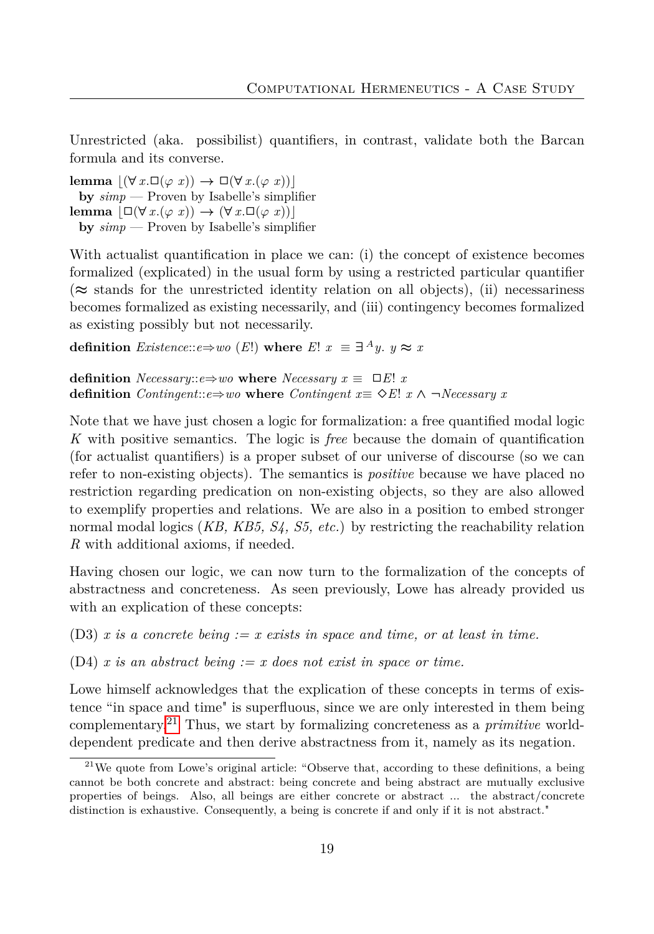Unrestricted (aka. possibilist) quantifiers, in contrast, validate both the Barcan formula and its converse.

 $\text{lemma } |(\forall x . \Box(\varphi x)) \rightarrow \Box(\forall x . (\varphi x))|$ **by** *simp* — Proven by Isabelle's simplifier  $\text{lemma } |\Box(\forall x.(\varphi x)) \rightarrow (\forall x. \Box(\varphi x))|$ **by** *simp* — Proven by Isabelle's simplifier

With actualist quantification in place we can: (i) the concept of existence becomes formalized (explicated) in the usual form by using a restricted particular quantifier  $(\approx$  stands for the unrestricted identity relation on all objects), (ii) necessariness becomes formalized as existing necessarily, and (iii) contingency becomes formalized as existing possibly but not necessarily.

**definition** *Existence*:: $e \Rightarrow wo(E!)$  where  $E! x \equiv \exists A y \in X x$ 

**definition**  $Necessary::e \Rightarrow wo$  **where**  $Necessary \equiv \Box E! x$ **definition** *Contingent*:: $e \Rightarrow wo$  **where** *Contingent*  $x \equiv \Diamond E! x \land \neg N$ *ecessary* x

Note that we have just chosen a logic for formalization: a free quantified modal logic *K* with positive semantics. The logic is *free* because the domain of quantification (for actualist quantifiers) is a proper subset of our universe of discourse (so we can refer to non-existing objects). The semantics is *positive* because we have placed no restriction regarding predication on non-existing objects, so they are also allowed to exemplify properties and relations. We are also in a position to embed stronger normal modal logics (*KB, KB5, S4, S5, etc.*) by restricting the reachability relation *R* with additional axioms, if needed.

Having chosen our logic, we can now turn to the formalization of the concepts of abstractness and concreteness. As seen previously, Lowe has already provided us with an explication of these concepts:

(D3) *x is a concrete being := x exists in space and time, or at least in time.*

(D4) *x is an abstract being := x does not exist in space or time.*

Lowe himself acknowledges that the explication of these concepts in terms of existence "in space and time" is superfluous, since we are only interested in them being complementary.[21](#page-0-0) Thus, we start by formalizing concreteness as a *primitive* worlddependent predicate and then derive abstractness from it, namely as its negation.

 $21$ We quote from Lowe's original article: "Observe that, according to these definitions, a being cannot be both concrete and abstract: being concrete and being abstract are mutually exclusive properties of beings. Also, all beings are either concrete or abstract ... the abstract/concrete distinction is exhaustive. Consequently, a being is concrete if and only if it is not abstract."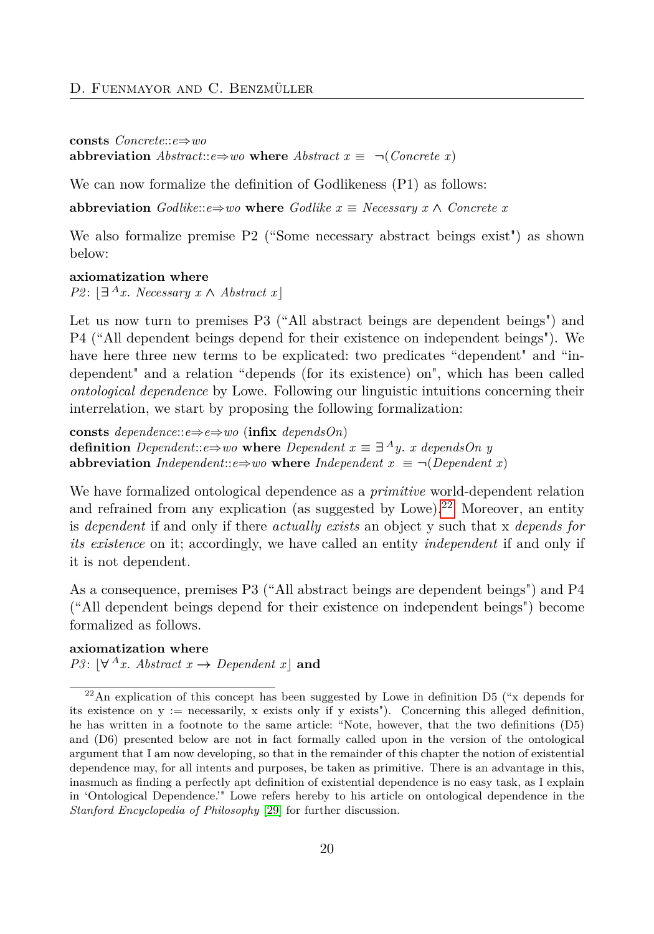## D. Fuenmayor and C. Benzmüller

## **consts** *Concrete*::*e*⇒*wo* **abbreviation**  $Abstract::e \Rightarrow wo$  **where**  $Abstract x \equiv \neg (Concrete x)$

We can now formalize the definition of Godlikeness (P1) as follows:

**abbreviation**  $Goldike::e \Rightarrow wo$  where  $Goldike x \equiv Necessary x \land Concrete x$ 

We also formalize premise P2 ("Some necessary abstract beings exist") as shown below:

### **axiomatization where**

*P2*:  $\left[ \exists A_x \right]$ *Necessary x* ∧ *Abstract x* 

Let us now turn to premises P3 ("All abstract beings are dependent beings") and P4 ("All dependent beings depend for their existence on independent beings"). We have here three new terms to be explicated: two predicates "dependent" and "independent" and a relation "depends (for its existence) on", which has been called *ontological dependence* by Lowe. Following our linguistic intuitions concerning their interrelation, we start by proposing the following formalization:

**consts** *dependence*:: $e \Rightarrow e \Rightarrow wo$  (**infix** *dependsOn*) **definition** Dependent:: $e \Rightarrow wo$  **where** Dependent  $x \equiv \exists A_y$ *. x* dependsOn *y* **abbreviation** *Independent*:: $e \Rightarrow wo$  **where** *Independent*  $x \equiv \neg (Department)$ 

We have formalized ontological dependence as a *primitive* world-dependent relation and refrained from any explication (as suggested by Lowe).<sup>[22](#page-0-0)</sup> Moreover, an entity is *dependent* if and only if there *actually exists* an object y such that x *depends for its existence* on it; accordingly, we have called an entity *independent* if and only if it is not dependent.

As a consequence, premises P3 ("All abstract beings are dependent beings") and P4 ("All dependent beings depend for their existence on independent beings") become formalized as follows.

**axiomatization where**  $P3: |\forall A$ <sup>*x*</sup>*x. Abstract x* → *Dependent x* **and** 

 $^{22}$ An explication of this concept has been suggested by Lowe in definition D5 ("x depends for its existence on  $y :=$  necessarily, x exists only if y exists"). Concerning this alleged definition, he has written in a footnote to the same article: "Note, however, that the two definitions (D5) and (D6) presented below are not in fact formally called upon in the version of the ontological argument that I am now developing, so that in the remainder of this chapter the notion of existential dependence may, for all intents and purposes, be taken as primitive. There is an advantage in this, inasmuch as finding a perfectly apt definition of existential dependence is no easy task, as I explain in 'Ontological Dependence.'" Lowe refers hereby to his article on ontological dependence in the *Stanford Encyclopedia of Philosophy* [\[29\]](#page-36-17) for further discussion.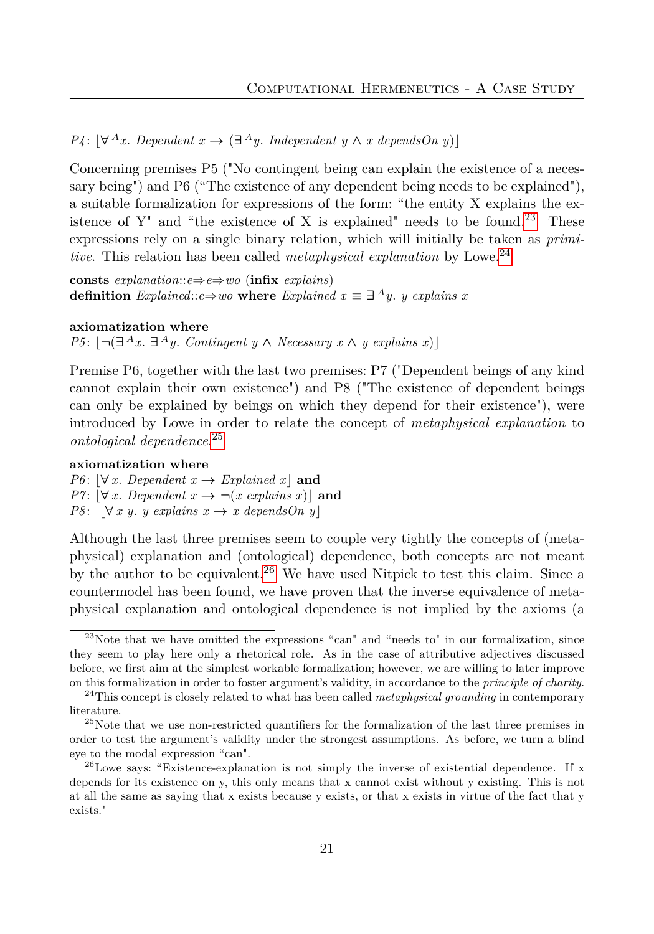$P_4$ :  $|\forall A_x$ *. Dependent*  $x \to (\exists A_y)$ *. Independent*  $y \wedge x$  *dependsOn*  $y$ )

Concerning premises P5 ("No contingent being can explain the existence of a necessary being") and P6 ("The existence of any dependent being needs to be explained"), a suitable formalization for expressions of the form: "the entity X explains the existence of  $Y^{\prime}$  and "the existence of X is explained" needs to be found.<sup>[23](#page-0-0)</sup> These expressions rely on a single binary relation, which will initially be taken as *primitive*. This relation has been called *metaphysical explanation* by Lowe.<sup>[24](#page-0-0)</sup>

**consts** *explanation*::*e*⇒*e*⇒*wo* (**infix** *explains*) **definition** *Explained*:: $e \Rightarrow wo$  **where** *Explained*  $x \equiv \exists A_y$ *. y explains x* 

## **axiomatization where**

*P5*:  $\left[ \neg (\exists^A x \cdot \exists^A y \cdot \text{Contingent } y \wedge \text{Necessary } x \wedge y \text{ explains } x) \right]$ 

Premise P6, together with the last two premises: P7 ("Dependent beings of any kind cannot explain their own existence") and P8 ("The existence of dependent beings can only be explained by beings on which they depend for their existence"), were introduced by Lowe in order to relate the concept of *metaphysical explanation* to *ontological dependence*. [25](#page-0-0)

# **axiomatization where**

*P6*:  $\forall x$ *. Dependent*  $x \rightarrow$  *Explained*  $x |$  **and** *P7*:  $|\forall x$ *. Dependent*  $x \rightarrow \neg(x \text{ explains } x)$  and *P8*:  $|\forall x \ y$ *. y explains*  $x \rightarrow x$  *dependsOn y* 

Although the last three premises seem to couple very tightly the concepts of (metaphysical) explanation and (ontological) dependence, both concepts are not meant by the author to be equivalent.<sup>[26](#page-0-0)</sup> We have used Nitpick to test this claim. Since a countermodel has been found, we have proven that the inverse equivalence of metaphysical explanation and ontological dependence is not implied by the axioms (a

 $23$ Note that we have omitted the expressions "can" and "needs to" in our formalization, since they seem to play here only a rhetorical role. As in the case of attributive adjectives discussed before, we first aim at the simplest workable formalization; however, we are willing to later improve on this formalization in order to foster argument's validity, in accordance to the *principle of charity*.

<sup>24</sup>This concept is closely related to what has been called *metaphysical grounding* in contemporary literature.

 $^{25}$ Note that we use non-restricted quantifiers for the formalization of the last three premises in order to test the argument's validity under the strongest assumptions. As before, we turn a blind eye to the modal expression "can".

 $^{26}$ Lowe says: "Existence-explanation is not simply the inverse of existential dependence. If x depends for its existence on y, this only means that x cannot exist without y existing. This is not at all the same as saying that x exists because y exists, or that x exists in virtue of the fact that y exists."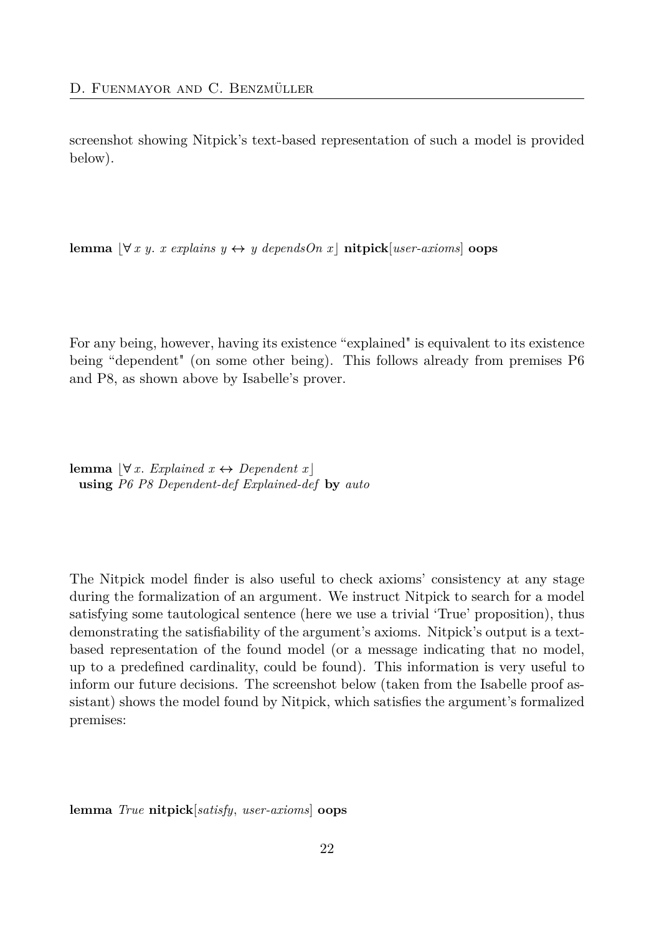screenshot showing Nitpick's text-based representation of such a model is provided below).

**lemma**  $\forall x \ y$ *. x* explains  $y \leftrightarrow y$  depends On x intpick [user-axioms] **oops** 

For any being, however, having its existence "explained" is equivalent to its existence being "dependent" (on some other being). This follows already from premises P6 and P8, as shown above by Isabelle's prover.

**lemma**  $\forall x$ *. Explained*  $x \leftrightarrow$  *Dependent* x **using** *P6 P8 Dependent-def Explained-def* **by** *auto*

The Nitpick model finder is also useful to check axioms' consistency at any stage during the formalization of an argument. We instruct Nitpick to search for a model satisfying some tautological sentence (here we use a trivial 'True' proposition), thus demonstrating the satisfiability of the argument's axioms. Nitpick's output is a textbased representation of the found model (or a message indicating that no model, up to a predefined cardinality, could be found). This information is very useful to inform our future decisions. The screenshot below (taken from the Isabelle proof assistant) shows the model found by Nitpick, which satisfies the argument's formalized premises:

**lemma** *True* **nitpick**[*satisfy, user-axioms*] **oops**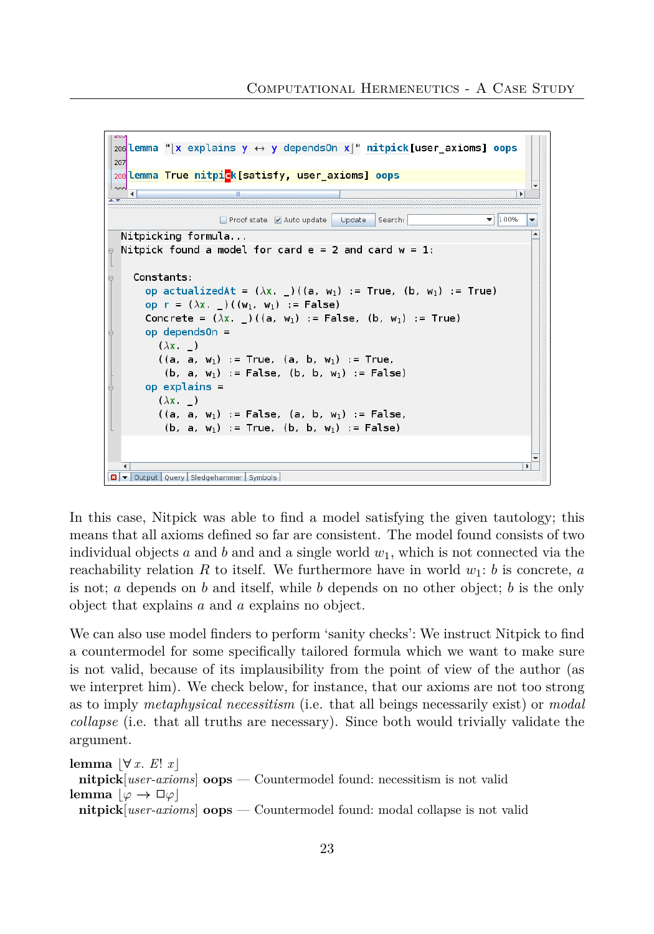```
\cos lemma " x explains y \leftrightarrow y depends0n x " nitpick [user axioms] oops
207
    lemma True nitpi<mark>c</mark>k[satisfy, user axioms] oops
 20
                                                                                          \overline{\phantom{0}}Proof state | Auto update
                                                  Update
                                                          Search:
                                                                                   \sqrt{100\%}\overline{\phantom{0}}Nitpicking formula...
                                                                                             \overline{\phantom{a}}Nitpick found a model for card e = 2 and card w = 1:
     Constants:
       op actualizedAt = (\lambda x. )((a, w_1) := True, (b, w_1) := True)op r = (\lambda x. )((w_1, w_1) := False)Concrete = (\lambda x. )((a, w_1) := False, (b, w_1) := True)op depends0n =
          (\lambda x)((a, a, w_1) := True, (a, b, w_1) := True,(b, a, w_1) := False, (b, b, w_1) := False)
       op explains =
          (\lambda x_{-})((a, a, w_1) := False, (a, b, w_1) := False,(b, a, w_1) := True, (b, b, w_1) := False)
   \blacksquareB \blacktriangleright output Query Sledgehammer Symbols
```
In this case, Nitpick was able to find a model satisfying the given tautology; this means that all axioms defined so far are consistent. The model found consists of two individual objects *a* and *b* and and a single world  $w_1$ , which is not connected via the reachability relation R to itself. We furthermore have in world  $w_1$ : *b* is concrete, *a* is not; *a* depends on *b* and itself, while *b* depends on no other object; *b* is the only object that explains *a* and *a* explains no object.

We can also use model finders to perform 'sanity checks': We instruct Nitpick to find a countermodel for some specifically tailored formula which we want to make sure is not valid, because of its implausibility from the point of view of the author (as we interpret him). We check below, for instance, that our axioms are not too strong as to imply *metaphysical necessitism* (i.e. that all beings necessarily exist) or *modal collapse* (i.e. that all truths are necessary). Since both would trivially validate the argument.

```
lemma \forall x. E! xnitpick[user-axioms] oops — Countermodel found: necessitism is not valid
lemma |\varphi \to \Box \varphi|nitpick[user-axioms] oops — Countermodel found: modal collapse is not valid
```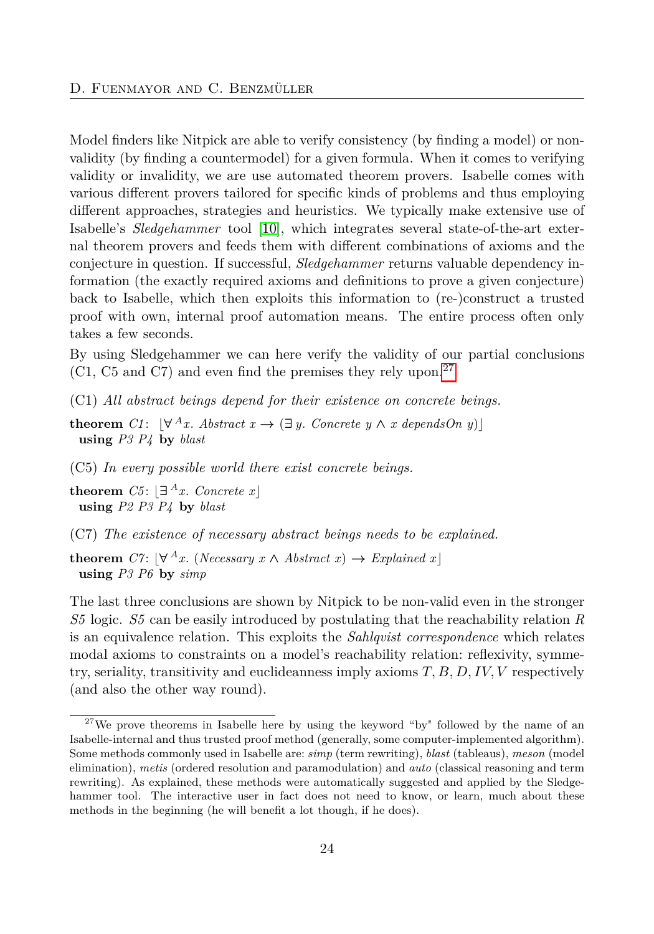Model finders like Nitpick are able to verify consistency (by finding a model) or nonvalidity (by finding a countermodel) for a given formula. When it comes to verifying validity or invalidity, we are use automated theorem provers. Isabelle comes with various different provers tailored for specific kinds of problems and thus employing different approaches, strategies and heuristics. We typically make extensive use of Isabelle's *Sledgehammer* tool [\[10\]](#page-34-7), which integrates several state-of-the-art external theorem provers and feeds them with different combinations of axioms and the conjecture in question. If successful, *Sledgehammer* returns valuable dependency information (the exactly required axioms and definitions to prove a given conjecture) back to Isabelle, which then exploits this information to (re-)construct a trusted proof with own, internal proof automation means. The entire process often only takes a few seconds.

By using Sledgehammer we can here verify the validity of our partial conclusions  $(C1, C5 \text{ and } C7)$  and even find the premises they rely upon.<sup>[27](#page-0-0)</sup>

- (C1) *All abstract beings depend for their existence on concrete beings.*
- **theorem**  $C1$ :  $\forall A_x$ *x. Abstract*  $x \to (\exists y$ *. Concrete*  $y \land x$  *dependsOn*  $y$ ) **using** *P3 P4* **by** *blast*
- (C5) *In every possible world there exist concrete beings.*
- **theorem** *C5* : b**∃** *<sup>A</sup>x. Concrete x*c **using** *P2 P3 P4* **by** *blast*
- (C7) *The existence of necessary abstract beings needs to be explained.*

**theorem** *C7*:  $\forall A_x$ *.* (*Necessary*  $x \land$  *Abstract*  $x$ )  $\rightarrow$  *Explained*  $x$ **using** *P3 P6* **by** *simp*

The last three conclusions are shown by Nitpick to be non-valid even in the stronger *S5* logic. *S5* can be easily introduced by postulating that the reachability relation *R* is an equivalence relation. This exploits the *Sahlqvist correspondence* which relates modal axioms to constraints on a model's reachability relation: reflexivity, symmetry, seriality, transitivity and euclideanness imply axioms *T, B, D, IV, V* respectively (and also the other way round).

<sup>&</sup>lt;sup>27</sup>We prove theorems in Isabelle here by using the keyword "by" followed by the name of an Isabelle-internal and thus trusted proof method (generally, some computer-implemented algorithm). Some methods commonly used in Isabelle are: *simp* (term rewriting), *blast* (tableaus), *meson* (model elimination), *metis* (ordered resolution and paramodulation) and *auto* (classical reasoning and term rewriting). As explained, these methods were automatically suggested and applied by the Sledgehammer tool. The interactive user in fact does not need to know, or learn, much about these methods in the beginning (he will benefit a lot though, if he does).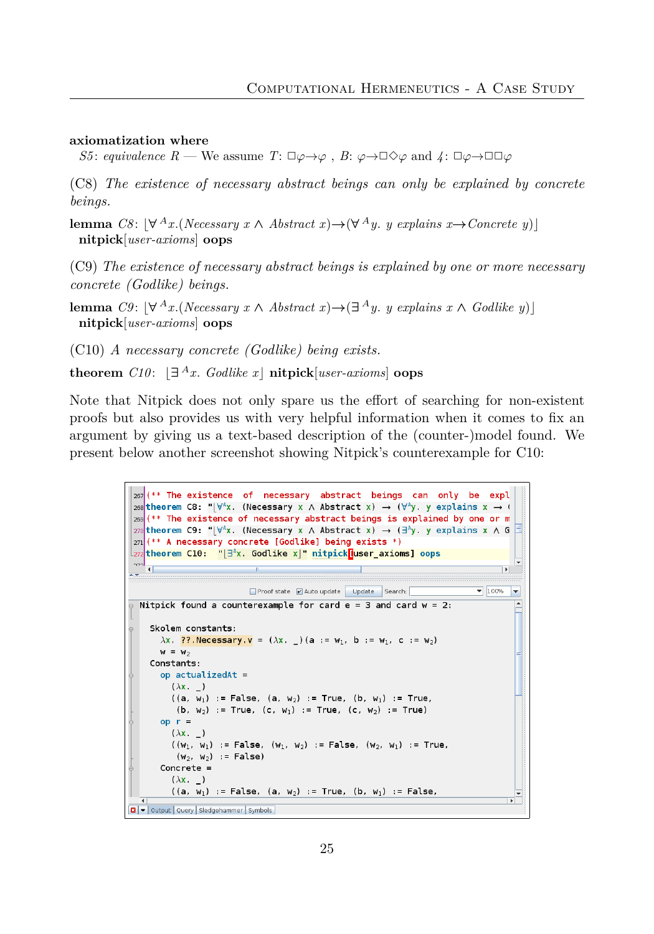**axiomatization where**

*S5*: *equivalence*  $R$  — We assume  $T: \Box \varphi \rightarrow \varphi$ ,  $B: \varphi \rightarrow \Box \varphi \rightarrow \Box \varphi \rightarrow \Box \Box \varphi$ 

(C8) *The existence of necessary abstract beings can only be explained by concrete beings.*

**lemma**  $C8$ :  $\left[\forall A x. (Necessary x \land Abstract x) \rightarrow (\forall A y. y \text{ explains } x \rightarrow Concrete y)\right]$ **nitpick**[*user-axioms*] **oops**

(C9) *The existence of necessary abstract beings is explained by one or more necessary concrete (Godlike) beings.*

**lemma**  $C9$ :  $\forall A_x \in (Necessary \times \wedge Abstract \times) \rightarrow (\exists A_y \in X_x \times \wedge Goldike \times y)$ **nitpick**[*user-axioms*] **oops**

(C10) *A necessary concrete (Godlike) being exists.*

 $t$ **heorem**  $C10$ :  $\left[\exists \,^A x$ *. Godlike x*<sub>1</sub> **nitpick**[*user-axioms*] **oops** 

Note that Nitpick does not only spare us the effort of searching for non-existent proofs but also provides us with very helpful information when it comes to fix an argument by giving us a text-based description of the (counter-)model found. We present below another screenshot showing Nitpick's counterexample for C10:

```
_{267} (** The existence of necessary abstract beings can only be expl
\cos theorem C8: "|\forall^{\wedge}x. (Necessary x \wedge Abstract x) \rightarrow (\forall^{\wedge}y. y explains x \rightarrow (
\frac{269}{100} (** The existence of necessary abstract beings is explained by one or m
_{270}theorem C9: "\forall^Ax. (Necessary x \land Abstract x) \rightarrow (\exists^Ay. y explains x \land G
271 (** A necessary concrete [Godlike] being exists *)
<sub>-272</sub>theorem C10: "[∃<sup>A</sup>x. Godlike x]" nitpick<mark>[</mark>user_axioms] oops
\sim\overline{1}TD "
                                                                                     \overline{\bullet} 100%
                             Proof state Z Auto update Update Search:
  Nitpick found a counterexample for card e = 3 and card w = 2:
    Skolem constants:
       \lambda x. ??. Necessary. v = (\lambda x). (a := w_1, b := w_1, c := w_2)w = w_2Constants:
       op actualizedAt =
         (\lambda x. )((a, w_1) := False, (a, w_2) := True, (b, w_1) := True,
           (b, w_2) := True, (c, w_1) := True, (c, w_2) := True)
       op r =(\lambda x. )((w_1, w_1) := False, (w_1, w_2) := False, (w_2, w_1) := True,
           (w_2, w_2) := False)
       Concrete =(\lambda x - )((a, w_1) := False, (a, w_2) := True, (b, w_1) := False,□ → Output Query Sledgehammer Symbols
```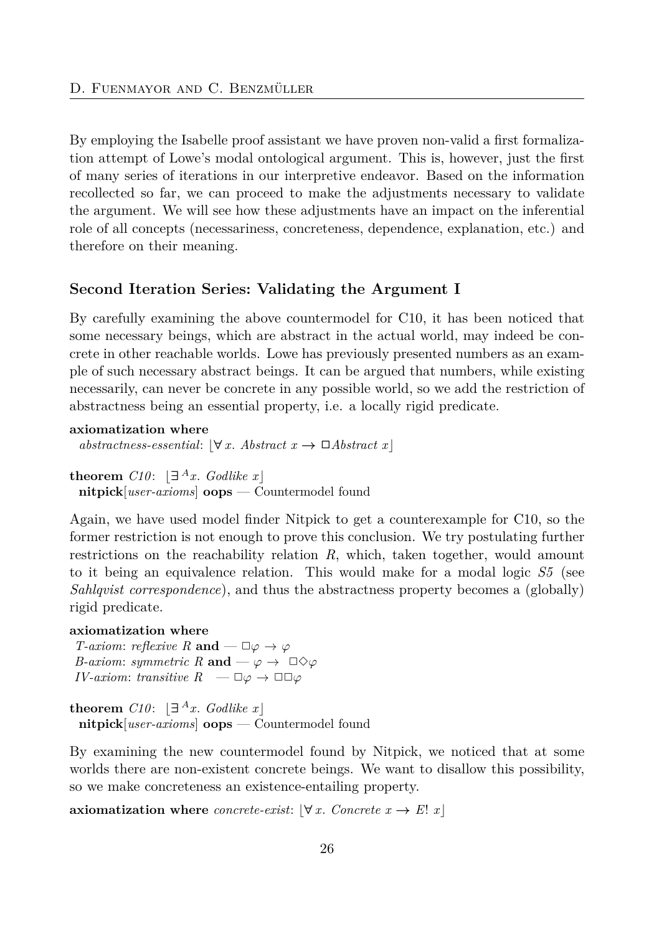By employing the Isabelle proof assistant we have proven non-valid a first formalization attempt of Lowe's modal ontological argument. This is, however, just the first of many series of iterations in our interpretive endeavor. Based on the information recollected so far, we can proceed to make the adjustments necessary to validate the argument. We will see how these adjustments have an impact on the inferential role of all concepts (necessariness, concreteness, dependence, explanation, etc.) and therefore on their meaning.

#### **Second Iteration Series: Validating the Argument I**

By carefully examining the above countermodel for C10, it has been noticed that some necessary beings, which are abstract in the actual world, may indeed be concrete in other reachable worlds. Lowe has previously presented numbers as an example of such necessary abstract beings. It can be argued that numbers, while existing necessarily, can never be concrete in any possible world, so we add the restriction of abstractness being an essential property, i.e. a locally rigid predicate.

```
axiomatization where
 abstractness-essential: |\forall x. Abstract x \rightarrow \Box Abstract x|
```

```
theorem C10: |\exists A_xx. Godlike x
 nitpick[user-axioms] oops — Countermodel found
```
Again, we have used model finder Nitpick to get a counterexample for C10, so the former restriction is not enough to prove this conclusion. We try postulating further restrictions on the reachability relation *R*, which, taken together, would amount to it being an equivalence relation. This would make for a modal logic *S5* (see *Sahlqvist correspondence*), and thus the abstractness property becomes a (globally) rigid predicate.

```
axiomatization where
 T-axiom: reflexive R and — \Box \varphi \rightarrow \varphiB-axiom: symmetric R and — \varphi \rightarrow \Box \Diamond \varphiIV-axiom: transitive R -\Box \varphi \rightarrow \Box \Box \varphi
```
**theorem**  $C10$ :  $|\exists A_x$ *x. Godlike x* **nitpick**[*user-axioms*] **oops** — Countermodel found

By examining the new countermodel found by Nitpick, we noticed that at some worlds there are non-existent concrete beings. We want to disallow this possibility, so we make concreteness an existence-entailing property.

**axiomatization where** *concrete-exist*:  $|\forall x$ *. Concrete*  $x \to E$ *! x*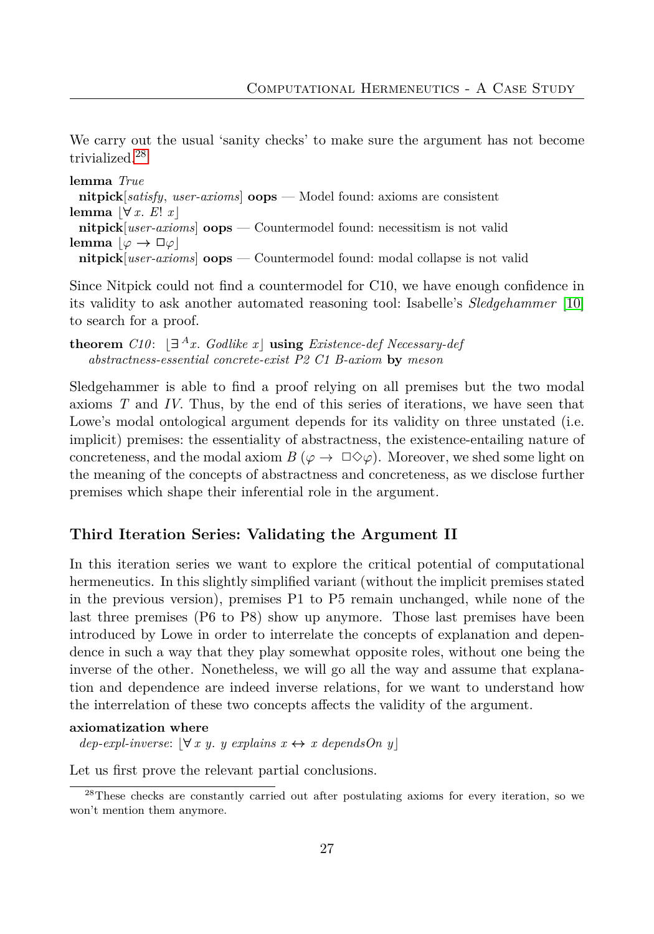We carry out the usual 'sanity checks' to make sure the argument has not become trivialized.[28](#page-0-0)

# **lemma** *True* **nitpick**[*satisfy, user-axioms*] **oops** — Model found: axioms are consistent **lemma**  $|\forall x$ *. E! x* **nitpick**[*user-axioms*] **oops** — Countermodel found: necessitism is not valid **lemma**  $|\varphi \to \Box \varphi|$ **nitpick**[*user-axioms*] **oops** — Countermodel found: modal collapse is not valid

Since Nitpick could not find a countermodel for C10, we have enough confidence in its validity to ask another automated reasoning tool: Isabelle's *Sledgehammer* [\[10\]](#page-34-7) to search for a proof.

**theorem**  $C10$ :  $\left| \exists A_x$ *.*  $Goldike\ x \right|$  **using** *Existence-def Necessary-def abstractness-essential concrete-exist P2 C1 B-axiom* **by** *meson*

Sledgehammer is able to find a proof relying on all premises but the two modal axioms *T* and *IV*. Thus, by the end of this series of iterations, we have seen that Lowe's modal ontological argument depends for its validity on three unstated (i.e. implicit) premises: the essentiality of abstractness, the existence-entailing nature of concreteness, and the modal axiom  $B(\varphi \to \Box \Diamond \varphi)$ . Moreover, we shed some light on the meaning of the concepts of abstractness and concreteness, as we disclose further premises which shape their inferential role in the argument.

# **Third Iteration Series: Validating the Argument II**

In this iteration series we want to explore the critical potential of computational hermeneutics. In this slightly simplified variant (without the implicit premises stated in the previous version), premises P1 to P5 remain unchanged, while none of the last three premises (P6 to P8) show up anymore. Those last premises have been introduced by Lowe in order to interrelate the concepts of explanation and dependence in such a way that they play somewhat opposite roles, without one being the inverse of the other. Nonetheless, we will go all the way and assume that explanation and dependence are indeed inverse relations, for we want to understand how the interrelation of these two concepts affects the validity of the argument.

#### **axiomatization where**

 $dep\text{-}expl\text{-}inverse: |\forall x \ y. y \text{ explains } x \leftrightarrow x \text{ depends}On y|$ 

Let us first prove the relevant partial conclusions.

<sup>&</sup>lt;sup>28</sup>These checks are constantly carried out after postulating axioms for every iteration, so we won't mention them anymore.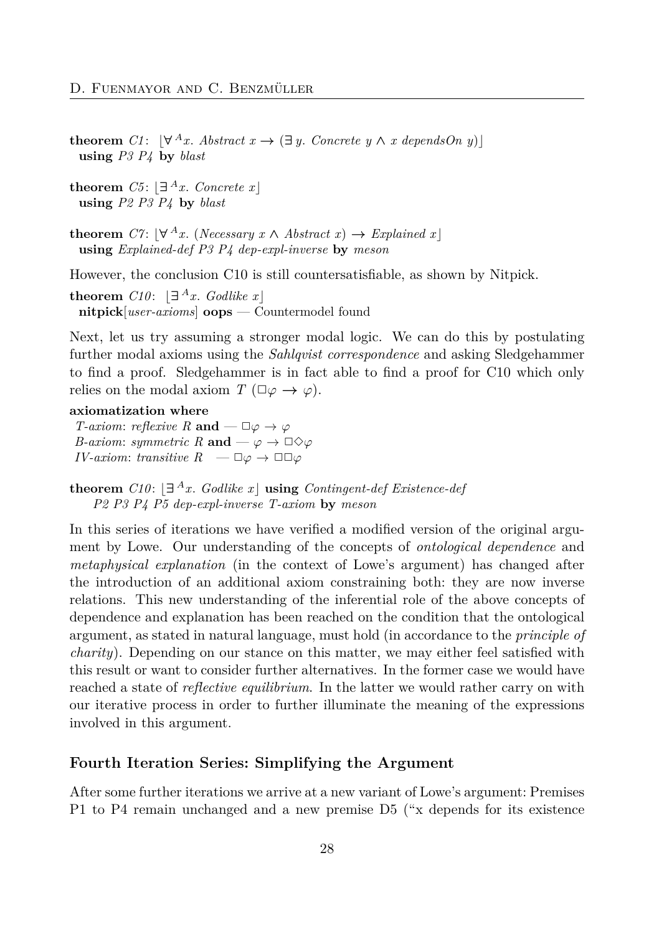**theorem**  $C1$ :  $|\forall A_x$ *x. Abstract*  $x \to (\exists y$ *. Concrete*  $y \land x$  *dependsOn*  $y$ ) **using** *P3 P4* **by** *blast*

**theorem** *C5*:  $\left| \exists A_x$ *. Concrete x* **using** *P2 P3 P4* **by** *blast*

**theorem** *C7*:  $\forall A_x$ *.* (*Necessary*  $x \land$  *Abstract*  $x$ )  $\rightarrow$  *Explained*  $x$ **using** *Explained-def P3 P4 dep-expl-inverse* **by** *meson*

However, the conclusion C10 is still countersatisfiable, as shown by Nitpick.

**theorem**  $C10$ :  $\left[\exists A_x \text{ and } C_x\right]$ **nitpick**[*user-axioms*] **oops** — Countermodel found

Next, let us try assuming a stronger modal logic. We can do this by postulating further modal axioms using the *Sahlqvist correspondence* and asking Sledgehammer to find a proof. Sledgehammer is in fact able to find a proof for C10 which only relies on the modal axiom  $T(\Box \varphi \rightarrow \varphi)$ .

**axiomatization where**

*T*-axiom: *reflexive* R **and** —  $\Box \varphi \rightarrow \varphi$ *B*-axiom: *symmetric* R **and** —  $\varphi \to \Box \Diamond \varphi$ *IV-axiom: transitive R*  $-\Box \varphi \rightarrow \Box \Box \varphi$ 

**theorem**  $C10$ :  $\vert \exists A_x$ *x. Godlike x* | **using** *Contingent-def Existence-def P2 P3 P4 P5 dep-expl-inverse T-axiom* **by** *meson*

In this series of iterations we have verified a modified version of the original argument by Lowe. Our understanding of the concepts of *ontological dependence* and *metaphysical explanation* (in the context of Lowe's argument) has changed after the introduction of an additional axiom constraining both: they are now inverse relations. This new understanding of the inferential role of the above concepts of dependence and explanation has been reached on the condition that the ontological argument, as stated in natural language, must hold (in accordance to the *principle of charity*). Depending on our stance on this matter, we may either feel satisfied with this result or want to consider further alternatives. In the former case we would have reached a state of *reflective equilibrium*. In the latter we would rather carry on with our iterative process in order to further illuminate the meaning of the expressions involved in this argument.

#### **Fourth Iteration Series: Simplifying the Argument**

After some further iterations we arrive at a new variant of Lowe's argument: Premises P1 to P4 remain unchanged and a new premise D5 ("x depends for its existence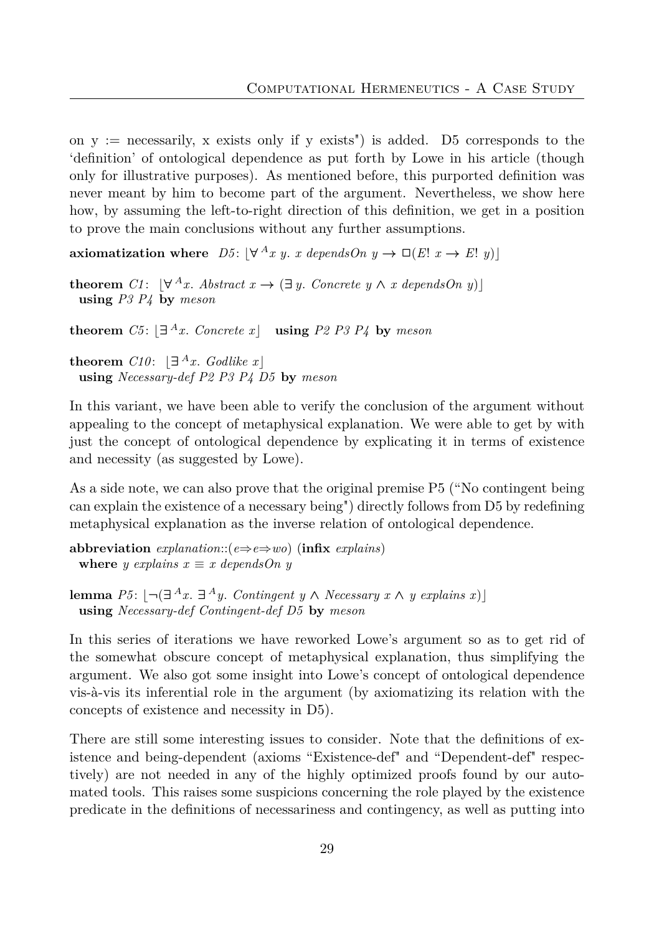on  $y :=$  necessarily, x exists only if y exists") is added. D5 corresponds to the 'definition' of ontological dependence as put forth by Lowe in his article (though only for illustrative purposes). As mentioned before, this purported definition was never meant by him to become part of the argument. Nevertheless, we show here how, by assuming the left-to-right direction of this definition, we get in a position to prove the main conclusions without any further assumptions.

**axiomatization where**  $D5: [\forall A \, x \, y \, \colon x \, dependsOn \, y \to \Box(E \, x \to E \, y)]$ 

```
theorem C1: |\forall A_xx. Abstract x \to (\exists y. Concrete y \land x dependsOn y)
 using P3 P4 by meson
```
 $\mathbf{t}$ **heorem**  $C5$ :  $\left[\exists \, \frac{A}{x}$ *. Concrete*  $x\right]$  **using**  $P2$   $P3$   $P4$  **by** meson

```
theorem C10: |\exists A_xx. Godlike x
 using Necessary-def P2 P3 P4 D5 by meson
```
In this variant, we have been able to verify the conclusion of the argument without appealing to the concept of metaphysical explanation. We were able to get by with just the concept of ontological dependence by explicating it in terms of existence and necessity (as suggested by Lowe).

As a side note, we can also prove that the original premise P5 ("No contingent being can explain the existence of a necessary being") directly follows from D5 by redefining metaphysical explanation as the inverse relation of ontological dependence.

```
abbreviation explanation::(e \Rightarrow e \Rightarrow wo) (infix explains)
 where y explains x \equiv x dependsOn y
```

```
lemma P5: |\neg (\exists^A x. \exists^A y. \text{ Contingent } y \wedge \text{Necessary } x \wedge y \text{ explains } x)|using Necessary-def Contingent-def D5 by meson
```
In this series of iterations we have reworked Lowe's argument so as to get rid of the somewhat obscure concept of metaphysical explanation, thus simplifying the argument. We also got some insight into Lowe's concept of ontological dependence vis-à-vis its inferential role in the argument (by axiomatizing its relation with the concepts of existence and necessity in D5).

There are still some interesting issues to consider. Note that the definitions of existence and being-dependent (axioms "Existence-def" and "Dependent-def" respectively) are not needed in any of the highly optimized proofs found by our automated tools. This raises some suspicions concerning the role played by the existence predicate in the definitions of necessariness and contingency, as well as putting into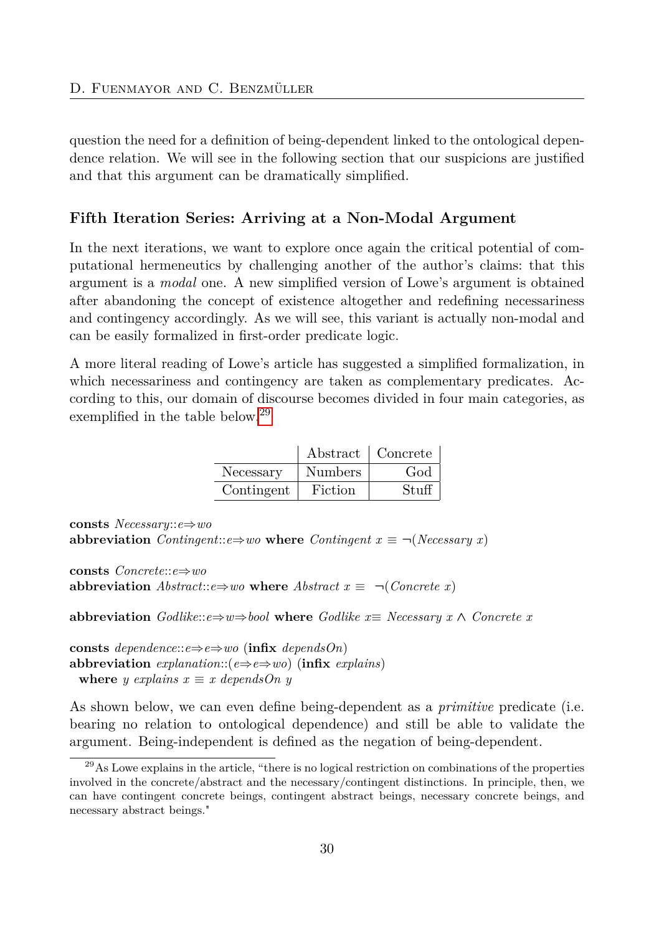question the need for a definition of being-dependent linked to the ontological dependence relation. We will see in the following section that our suspicions are justified and that this argument can be dramatically simplified.

## **Fifth Iteration Series: Arriving at a Non-Modal Argument**

In the next iterations, we want to explore once again the critical potential of computational hermeneutics by challenging another of the author's claims: that this argument is a *modal* one. A new simplified version of Lowe's argument is obtained after abandoning the concept of existence altogether and redefining necessariness and contingency accordingly. As we will see, this variant is actually non-modal and can be easily formalized in first-order predicate logic.

A more literal reading of Lowe's article has suggested a simplified formalization, in which necessariness and contingency are taken as complementary predicates. According to this, our domain of discourse becomes divided in four main categories, as exemplified in the table below.<sup>[29](#page-0-0)</sup>

|            |                | Abstract   Concrete |
|------------|----------------|---------------------|
| Necessary  | <b>Numbers</b> | God                 |
| Contingent | Fiction        | Stuff               |

**consts** *Necessary*::*e*⇒*wo* **abbreviation** *Contingent*:: $e \Rightarrow wo$  **where** *Contingent*  $x \equiv \neg (Necessary \ x)$ 

**consts** *Concrete*::*e*⇒*wo* **abbreviation**  $Abstract::e \Rightarrow wo$  where  $Abstract x \equiv \neg (Concrete x)$ 

**abbreviation**  $Goldike::e \Rightarrow w \Rightarrow bool$  where  $Goldike x \equiv Necessary x \land Concrete x$ 

**consts** *dependence*:: $e \Rightarrow e \Rightarrow wo$  (**infix** *dependsOn*) **abbreviation** *explanation*::(*e*⇒*e*⇒*wo*) (**infix** *explains*) **where** *y* explains  $x \equiv x$  depends On *y* 

As shown below, we can even define being-dependent as a *primitive* predicate (i.e. bearing no relation to ontological dependence) and still be able to validate the argument. Being-independent is defined as the negation of being-dependent.

<sup>&</sup>lt;sup>29</sup>As Lowe explains in the article, "there is no logical restriction on combinations of the properties involved in the concrete/abstract and the necessary/contingent distinctions. In principle, then, we can have contingent concrete beings, contingent abstract beings, necessary concrete beings, and necessary abstract beings."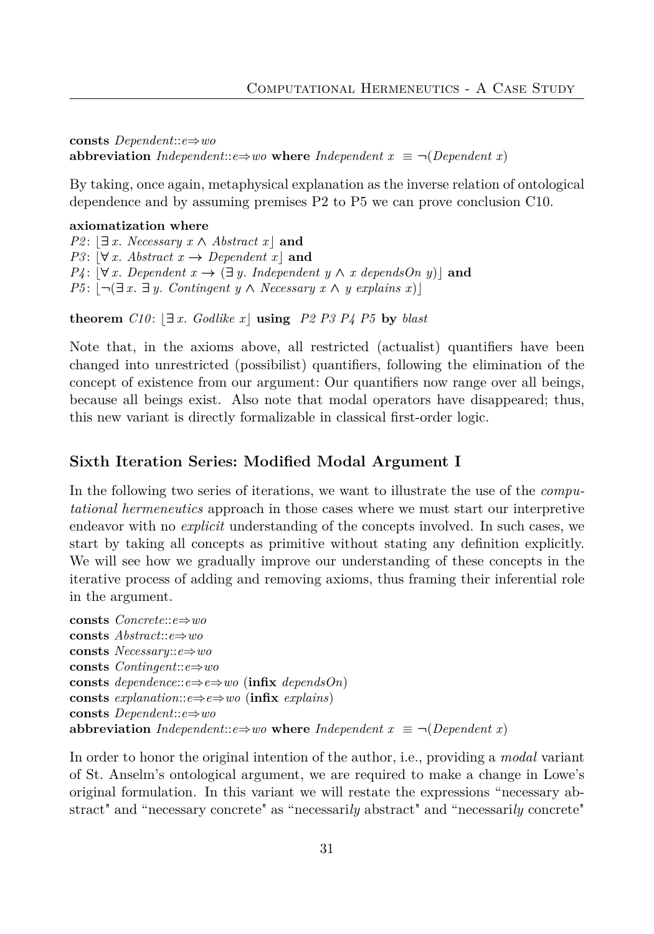**consts** *Dependent*::*e*⇒*wo* **abbreviation** *Independent*:: $e \Rightarrow wo$  **where** *Independent*  $x \equiv \neg (Dependent \ x)$ 

By taking, once again, metaphysical explanation as the inverse relation of ontological dependence and by assuming premises P2 to P5 we can prove conclusion C10.

#### **axiomatization where**

*P2*:  $\exists$  *x. Necessary x* ∧ *Abstract x* and *P3*:  $|\forall x$ *. Abstract*  $x \rightarrow$  *Dependent*  $x |$  **and**  $P_4$ :  $|\forall x$ *. Dependent*  $x \rightarrow (\exists y$ *. Independent*  $y \land x$  *dependsOn*  $y$ ) and *P5*:  $\vert \neg (\exists x \cdot \exists y \cdot \text{Contingent } y \wedge \text{Necessary } x \wedge y \text{ explains } x) \vert$ 

**theorem**  $C10$ :  $\exists x$ *. Godlike x* **using**  $P2$   $P3$   $P4$   $P5$  by *blast* 

Note that, in the axioms above, all restricted (actualist) quantifiers have been changed into unrestricted (possibilist) quantifiers, following the elimination of the concept of existence from our argument: Our quantifiers now range over all beings, because all beings exist. Also note that modal operators have disappeared; thus, this new variant is directly formalizable in classical first-order logic.

#### **Sixth Iteration Series: Modified Modal Argument I**

In the following two series of iterations, we want to illustrate the use of the *computational hermeneutics* approach in those cases where we must start our interpretive endeavor with no *explicit* understanding of the concepts involved. In such cases, we start by taking all concepts as primitive without stating any definition explicitly. We will see how we gradually improve our understanding of these concepts in the iterative process of adding and removing axioms, thus framing their inferential role in the argument.

```
consts Concrete::e⇒wo
consts Abstract::e⇒wo
consts Necessary::e⇒wo
consts Contingent::e⇒wo
consts dependence::e \Rightarrow e \Rightarrow wo (infix dependsOn)
consts explanation::e \Rightarrow e \Rightarrow wo (infix explains)
consts Dependent::e⇒wo
abbreviation Independent::e \Rightarrow wo where Independent x \equiv \neg (Dependent \ x)
```
In order to honor the original intention of the author, i.e., providing a *modal* variant of St. Anselm's ontological argument, we are required to make a change in Lowe's original formulation. In this variant we will restate the expressions "necessary abstract" and "necessary concrete" as "necessari*ly* abstract" and "necessari*ly* concrete"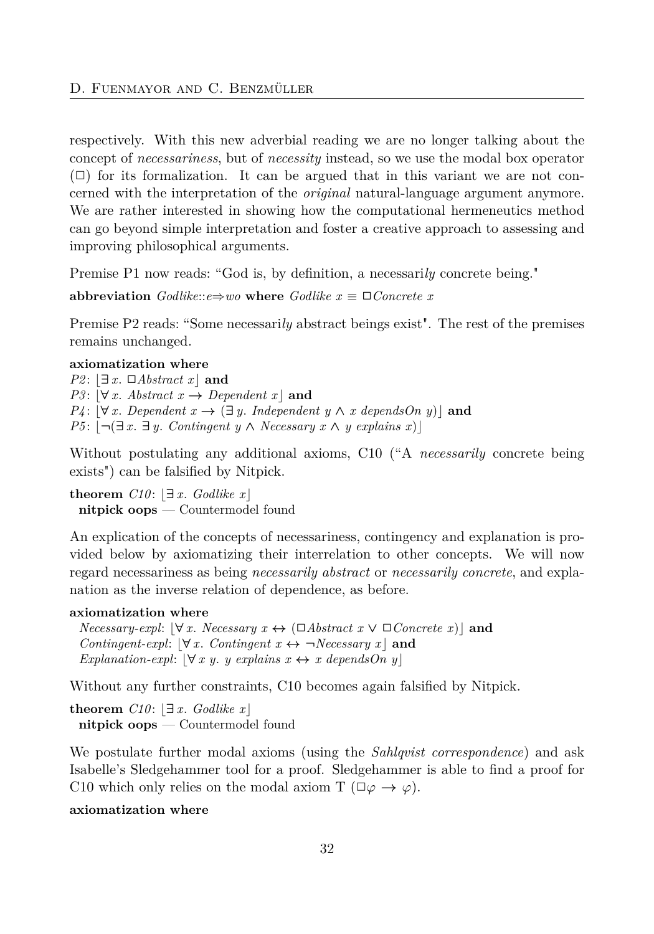respectively. With this new adverbial reading we are no longer talking about the concept of *necessariness*, but of *necessity* instead, so we use the modal box operator  $(\Box)$  for its formalization. It can be argued that in this variant we are not concerned with the interpretation of the *original* natural-language argument anymore. We are rather interested in showing how the computational hermeneutics method can go beyond simple interpretation and foster a creative approach to assessing and improving philosophical arguments.

Premise P1 now reads: "God is, by definition, a necessari*ly* concrete being."

**abbreviation**  $Goldike::e \Rightarrow wo$  where  $Goldike x \equiv \Box$  Concrete x

Premise P2 reads: "Some necessari*ly* abstract beings exist". The rest of the premises remains unchanged.

#### **axiomatization where**

*P2*:  $\exists x$ *.* □*Abstract x* **and** *P3*:  $\forall x$ *. Abstract*  $x \rightarrow$  *Dependent*  $x |$  **and**  $P_4$ :  $|\forall x$ *. Dependent*  $x \to (\exists y$ *. Independent*  $y \wedge x$  *dependsOn*  $y|$  and *P5*:  $\neg$  $\neg$  $\exists x$ .  $\exists y$ *. Contingent y* ∧ *Necessary x* ∧ *y explains x*)

Without postulating any additional axioms, C10 ("A *necessarily* concrete being exists") can be falsified by Nitpick.

**theorem**  $C10: |\exists x$ *. Godlike* x **nitpick oops** — Countermodel found

An explication of the concepts of necessariness, contingency and explanation is provided below by axiomatizing their interrelation to other concepts. We will now regard necessariness as being *necessarily abstract* or *necessarily concrete*, and explanation as the inverse relation of dependence, as before.

#### **axiomatization where**

*Necessary-expl:*  $|\forall x$ *. Necessary*  $x \leftrightarrow (\Box \text{Abstract } x \lor \Box \text{ concrete } x) |$  and *Contingent-expl:*  $|\forall x$ *. Contingent*  $x \leftrightarrow \neg N$ *ecessary*  $x |$  and *Explanation-expl:*  $\forall x, y \in x$  *y explains*  $x \leftrightarrow x$  depends On  $y$ 

Without any further constraints, C10 becomes again falsified by Nitpick.

**theorem**  $C10: |\exists x$ *. Godlike x* **nitpick oops** — Countermodel found

We postulate further modal axioms (using the *Sahlqvist correspondence*) and ask Isabelle's Sledgehammer tool for a proof. Sledgehammer is able to find a proof for C10 which only relies on the modal axiom T ( $\Box \varphi \rightarrow \varphi$ ).

#### **axiomatization where**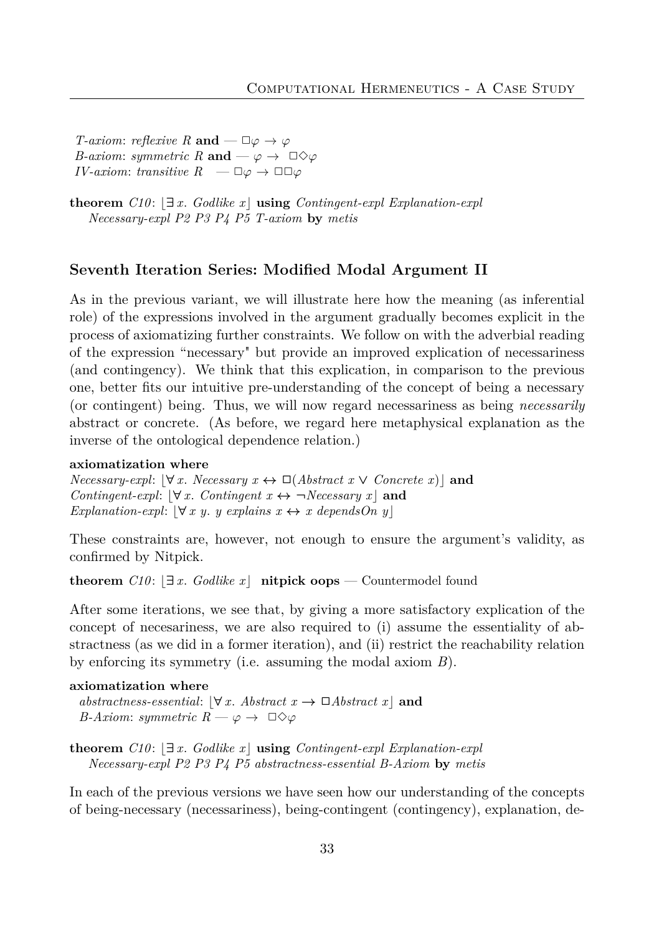*T*-axiom: *reflexive* R **and** —  $\Box \varphi \rightarrow \varphi$ *B*-axiom: *symmetric* R **and** —  $\varphi \rightarrow \Box \Diamond \varphi$ *IV-axiom: transitive R*  $-\Box \varphi \rightarrow \Box \Box \varphi$ 

**theorem**  $C10$ :  $\exists x$ *. Godlike x* **using**  $Contingent\text{-}expl$  *Explanation-expl Necessary-expl P2 P3 P4 P5 T-axiom* **by** *metis*

## **Seventh Iteration Series: Modified Modal Argument II**

As in the previous variant, we will illustrate here how the meaning (as inferential role) of the expressions involved in the argument gradually becomes explicit in the process of axiomatizing further constraints. We follow on with the adverbial reading of the expression "necessary" but provide an improved explication of necessariness (and contingency). We think that this explication, in comparison to the previous one, better fits our intuitive pre-understanding of the concept of being a necessary (or contingent) being. Thus, we will now regard necessariness as being *necessarily* abstract or concrete. (As before, we regard here metaphysical explanation as the inverse of the ontological dependence relation.)

#### **axiomatization where**

*Necessary-expl:*  $|\forall x$ *. Necessary*  $x \leftrightarrow \Box$ (*Abstract x*  $\lor$  *Concrete x*) and *Contingent-expl:*  $|\forall x$ *. Contingent*  $x \leftrightarrow \neg N$ *ecessary*  $x |$  and *Explanation-expl:*  $|\forall x \ y$ *. y explains*  $x \leftrightarrow x$  *dependsOn y* 

These constraints are, however, not enough to ensure the argument's validity, as confirmed by Nitpick.

**theorem**  $C10$ :  $\vert \exists x$ *. Godlike*  $x \vert$  **nitpick oops** — Countermodel found

After some iterations, we see that, by giving a more satisfactory explication of the concept of necesariness, we are also required to (i) assume the essentiality of abstractness (as we did in a former iteration), and (ii) restrict the reachability relation by enforcing its symmetry (i.e. assuming the modal axiom *B*).

```
axiomatization where
 abstractness-essential: \forall x. Abstract x \rightarrow \BoxAbstract x | and
 B-Axiom: symmetric R \to \varphi \to \Box \Diamond \varphi
```

```
theorem C10: \exists x. Godlike x using Contingent-expl Explanation-expl
   Necessary-expl P2 P3 P4 P5 abstractness-essential B-Axiom by metis
```
In each of the previous versions we have seen how our understanding of the concepts of being-necessary (necessariness), being-contingent (contingency), explanation, de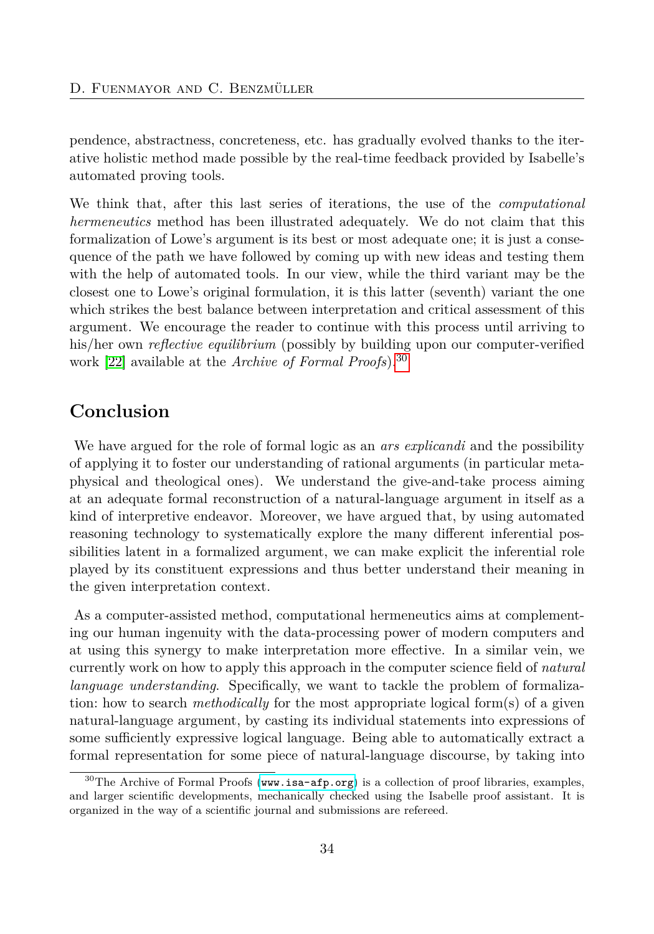pendence, abstractness, concreteness, etc. has gradually evolved thanks to the iterative holistic method made possible by the real-time feedback provided by Isabelle's automated proving tools.

We think that, after this last series of iterations, the use of the *computational hermeneutics* method has been illustrated adequately. We do not claim that this formalization of Lowe's argument is its best or most adequate one; it is just a consequence of the path we have followed by coming up with new ideas and testing them with the help of automated tools. In our view, while the third variant may be the closest one to Lowe's original formulation, it is this latter (seventh) variant the one which strikes the best balance between interpretation and critical assessment of this argument. We encourage the reader to continue with this process until arriving to his/her own *reflective equilibrium* (possibly by building upon our computer-verified work [\[22\]](#page-35-16) available at the *Archive of Formal Proofs*).[30](#page-0-0)

# **Conclusion**

We have argued for the role of formal logic as an *ars explicandi* and the possibility of applying it to foster our understanding of rational arguments (in particular metaphysical and theological ones). We understand the give-and-take process aiming at an adequate formal reconstruction of a natural-language argument in itself as a kind of interpretive endeavor. Moreover, we have argued that, by using automated reasoning technology to systematically explore the many different inferential possibilities latent in a formalized argument, we can make explicit the inferential role played by its constituent expressions and thus better understand their meaning in the given interpretation context.

As a computer-assisted method, computational hermeneutics aims at complementing our human ingenuity with the data-processing power of modern computers and at using this synergy to make interpretation more effective. In a similar vein, we currently work on how to apply this approach in the computer science field of *natural language understanding*. Specifically, we want to tackle the problem of formalization: how to search *methodically* for the most appropriate logical form(s) of a given natural-language argument, by casting its individual statements into expressions of some sufficiently expressive logical language. Being able to automatically extract a formal representation for some piece of natural-language discourse, by taking into

 $30$ The Archive of Formal Proofs (<www.isa-afp.org>) is a collection of proof libraries, examples, and larger scientific developments, mechanically checked using the Isabelle proof assistant. It is organized in the way of a scientific journal and submissions are refereed.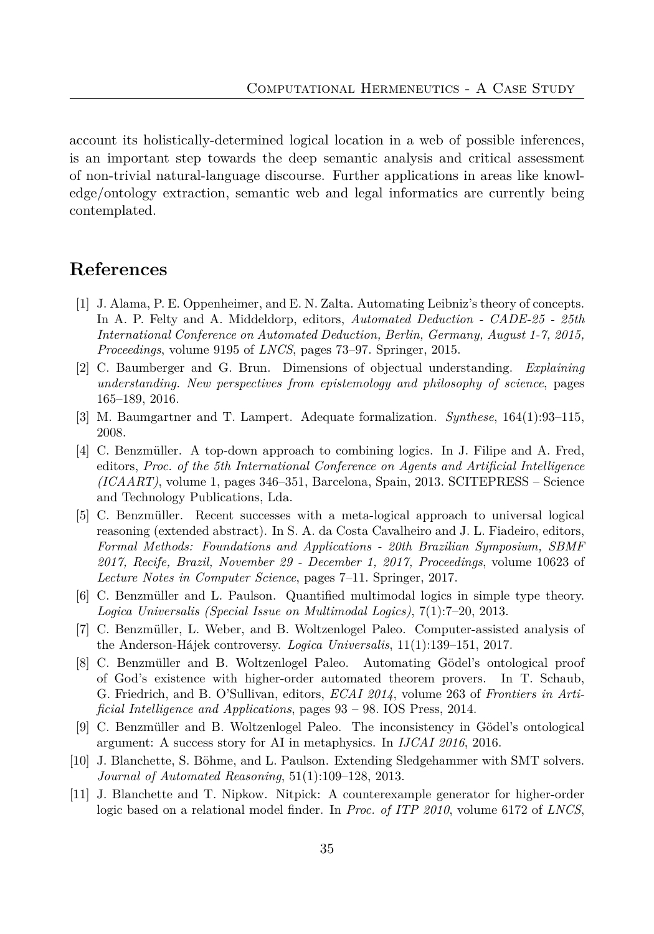account its holistically-determined logical location in a web of possible inferences, is an important step towards the deep semantic analysis and critical assessment of non-trivial natural-language discourse. Further applications in areas like knowledge/ontology extraction, semantic web and legal informatics are currently being contemplated.

# **References**

- <span id="page-34-6"></span>[1] J. Alama, P. E. Oppenheimer, and E. N. Zalta. Automating Leibniz's theory of concepts. In A. P. Felty and A. Middeldorp, editors, *Automated Deduction - CADE-25 - 25th International Conference on Automated Deduction, Berlin, Germany, August 1-7, 2015, Proceedings*, volume 9195 of *LNCS*, pages 73–97. Springer, 2015.
- <span id="page-34-8"></span>[2] C. Baumberger and G. Brun. Dimensions of objectual understanding. *Explaining understanding. New perspectives from epistemology and philosophy of science*, pages 165–189, 2016.
- <span id="page-34-9"></span>[3] M. Baumgartner and T. Lampert. Adequate formalization. *Synthese*, 164(1):93–115, 2008.
- <span id="page-34-4"></span>[4] C. Benzmüller. A top-down approach to combining logics. In J. Filipe and A. Fred, editors, *Proc. of the 5th International Conference on Agents and Artificial Intelligence (ICAART)*, volume 1, pages 346–351, Barcelona, Spain, 2013. SCITEPRESS – Science and Technology Publications, Lda.
- <span id="page-34-5"></span>[5] C. Benzmüller. Recent successes with a meta-logical approach to universal logical reasoning (extended abstract). In S. A. da Costa Cavalheiro and J. L. Fiadeiro, editors, *Formal Methods: Foundations and Applications - 20th Brazilian Symposium, SBMF 2017, Recife, Brazil, November 29 - December 1, 2017, Proceedings*, volume 10623 of *Lecture Notes in Computer Science*, pages 7–11. Springer, 2017.
- <span id="page-34-3"></span>[6] C. Benzmüller and L. Paulson. Quantified multimodal logics in simple type theory. *Logica Universalis (Special Issue on Multimodal Logics)*, 7(1):7–20, 2013.
- <span id="page-34-2"></span>[7] C. Benzmüller, L. Weber, and B. Woltzenlogel Paleo. Computer-assisted analysis of the Anderson-Hájek controversy. *Logica Universalis*, 11(1):139–151, 2017.
- <span id="page-34-0"></span>[8] C. Benzmüller and B. Woltzenlogel Paleo. Automating Gödel's ontological proof of God's existence with higher-order automated theorem provers. In T. Schaub, G. Friedrich, and B. O'Sullivan, editors, *ECAI 2014*, volume 263 of *Frontiers in Artificial Intelligence and Applications*, pages 93 – 98. IOS Press, 2014.
- <span id="page-34-1"></span>[9] C. Benzmüller and B. Woltzenlogel Paleo. The inconsistency in Gödel's ontological argument: A success story for AI in metaphysics. In *IJCAI 2016*, 2016.
- <span id="page-34-7"></span>[10] J. Blanchette, S. Böhme, and L. Paulson. Extending Sledgehammer with SMT solvers. *Journal of Automated Reasoning*, 51(1):109–128, 2013.
- <span id="page-34-10"></span>[11] J. Blanchette and T. Nipkow. Nitpick: A counterexample generator for higher-order logic based on a relational model finder. In *Proc. of ITP 2010*, volume 6172 of *LNCS*,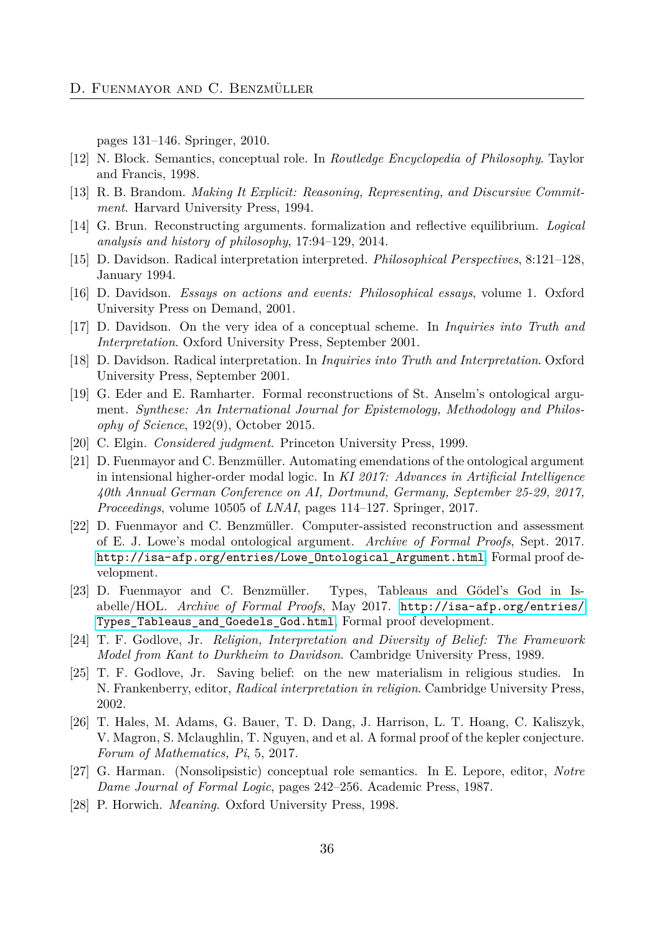pages 131–146. Springer, 2010.

- <span id="page-35-9"></span>[12] N. Block. Semantics, conceptual role. In *Routledge Encyclopedia of Philosophy*. Taylor and Francis, 1998.
- <span id="page-35-3"></span>[13] R. B. Brandom. *Making It Explicit: Reasoning, Representing, and Discursive Commitment*. Harvard University Press, 1994.
- <span id="page-35-15"></span>[14] G. Brun. Reconstructing arguments. formalization and reflective equilibrium. *Logical analysis and history of philosophy*, 17:94–129, 2014.
- <span id="page-35-1"></span>[15] D. Davidson. Radical interpretation interpreted. *Philosophical Perspectives*, 8:121–128, January 1994.
- <span id="page-35-2"></span>[16] D. Davidson. *Essays on actions and events: Philosophical essays*, volume 1. Oxford University Press on Demand, 2001.
- <span id="page-35-5"></span>[17] D. Davidson. On the very idea of a conceptual scheme. In *Inquiries into Truth and Interpretation*. Oxford University Press, September 2001.
- <span id="page-35-0"></span>[18] D. Davidson. Radical interpretation. In *Inquiries into Truth and Interpretation*. Oxford University Press, September 2001.
- <span id="page-35-7"></span>[19] G. Eder and E. Ramharter. Formal reconstructions of St. Anselm's ontological argument. *Synthese: An International Journal for Epistemology, Methodology and Philosophy of Science*, 192(9), October 2015.
- <span id="page-35-14"></span>[20] C. Elgin. *Considered judgment*. Princeton University Press, 1999.
- <span id="page-35-12"></span>[21] D. Fuenmayor and C. Benzmüller. Automating emendations of the ontological argument in intensional higher-order modal logic. In *KI 2017: Advances in Artificial Intelligence 40th Annual German Conference on AI, Dortmund, Germany, September 25-29, 2017, Proceedings*, volume 10505 of *LNAI*, pages 114–127. Springer, 2017.
- <span id="page-35-16"></span>[22] D. Fuenmayor and C. Benzmüller. Computer-assisted reconstruction and assessment of E. J. Lowe's modal ontological argument. *Archive of Formal Proofs*, Sept. 2017. [http://isa-afp.org/entries/Lowe\\_Ontological\\_Argument.html](http://isa-afp.org/entries/Lowe_Ontological_Argument.html), Formal proof development.
- <span id="page-35-6"></span>[23] D. Fuenmayor and C. Benzmüller. Types, Tableaus and Gödel's God in Isabelle/HOL. *Archive of Formal Proofs*, May 2017. [http://isa-afp.org/entries/](http://isa-afp.org/entries/Types_Tableaus_and_Goedels_God.html) [Types\\_Tableaus\\_and\\_Goedels\\_God.html](http://isa-afp.org/entries/Types_Tableaus_and_Goedels_God.html), Formal proof development.
- <span id="page-35-4"></span>[24] T. F. Godlove, Jr. *Religion, Interpretation and Diversity of Belief: The Framework Model from Kant to Durkheim to Davidson*. Cambridge University Press, 1989.
- <span id="page-35-11"></span>[25] T. F. Godlove, Jr. Saving belief: on the new materialism in religious studies. In N. Frankenberry, editor, *Radical interpretation in religion*. Cambridge University Press, 2002.
- <span id="page-35-13"></span>[26] T. Hales, M. Adams, G. Bauer, T. D. Dang, J. Harrison, L. T. Hoang, C. Kaliszyk, V. Magron, S. Mclaughlin, T. Nguyen, and et al. A formal proof of the kepler conjecture. *Forum of Mathematics, Pi*, 5, 2017.
- <span id="page-35-8"></span>[27] G. Harman. (Nonsolipsistic) conceptual role semantics. In E. Lepore, editor, *Notre Dame Journal of Formal Logic*, pages 242–256. Academic Press, 1987.
- <span id="page-35-10"></span>[28] P. Horwich. *Meaning*. Oxford University Press, 1998.